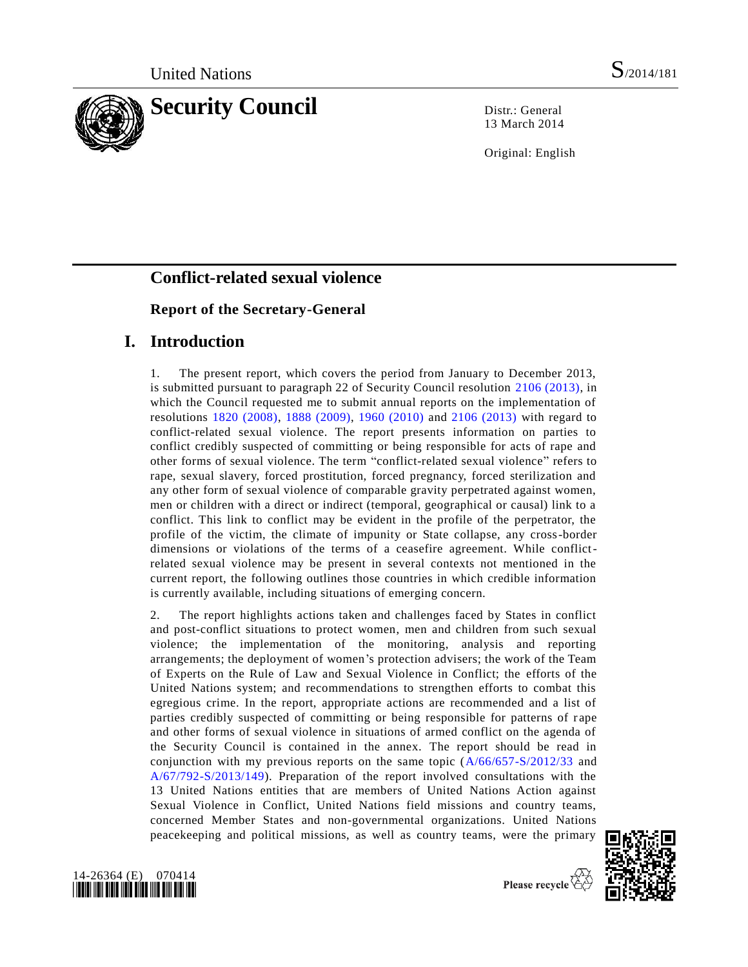

13 March 2014

Original: English

# **Conflict-related sexual violence**

# **Report of the Secretary-General**

# **I. Introduction**

1. The present report, which covers the period from January to December 2013, is submitted pursuant to paragraph 22 of Security Council resolution [2106 \(2013\),](http://undocs.org/S/RES/2106(2013)) in which the Council requested me to submit annual reports on the implementation of resolutions [1820 \(2008\),](http://undocs.org/S/RES/1820(2008)) [1888 \(2009\),](http://undocs.org/S/RES/1888(2009)) [1960 \(2010\)](http://undocs.org/S/RES/1960(2010)) and [2106 \(2013\)](http://undocs.org/S/RES/2106(2013)) with regard to conflict-related sexual violence. The report presents information on parties to conflict credibly suspected of committing or being responsible for acts of rape and other forms of sexual violence. The term "conflict-related sexual violence" refers to rape, sexual slavery, forced prostitution, forced pregnancy, forced sterilization and any other form of sexual violence of comparable gravity perpetrated against women, men or children with a direct or indirect (temporal, geographical or causal) link to a conflict. This link to conflict may be evident in the profile of the perpetrator, the profile of the victim, the climate of impunity or State collapse, any cross-border dimensions or violations of the terms of a ceasefire agreement. While conflictrelated sexual violence may be present in several contexts not mentioned in the current report, the following outlines those countries in which credible information is currently available, including situations of emerging concern.

2. The report highlights actions taken and challenges faced by States in conflict and post-conflict situations to protect women, men and children from such sexual violence; the implementation of the monitoring, analysis and reporting arrangements; the deployment of women's protection advisers; the work of the Team of Experts on the Rule of Law and Sexual Violence in Conflict; the efforts of the United Nations system; and recommendations to strengthen efforts to combat this egregious crime. In the report, appropriate actions are recommended and a list of parties credibly suspected of committing or being responsible for patterns of rape and other forms of sexual violence in situations of armed conflict on the agenda of the Security Council is contained in the annex. The report should be read in conjunction with my previous reports on the same topic [\(A/66/657-S/2012/33](http://undocs.org/A/66/657) and [A/67/792-S/2013/149\)](http://undocs.org/A/67/792). Preparation of the report involved consultations with the 13 United Nations entities that are members of United Nations Action against Sexual Violence in Conflict, United Nations field missions and country teams, concerned Member States and non-governmental organizations. United Nations peacekeeping and political missions, as well as country teams, were the primary



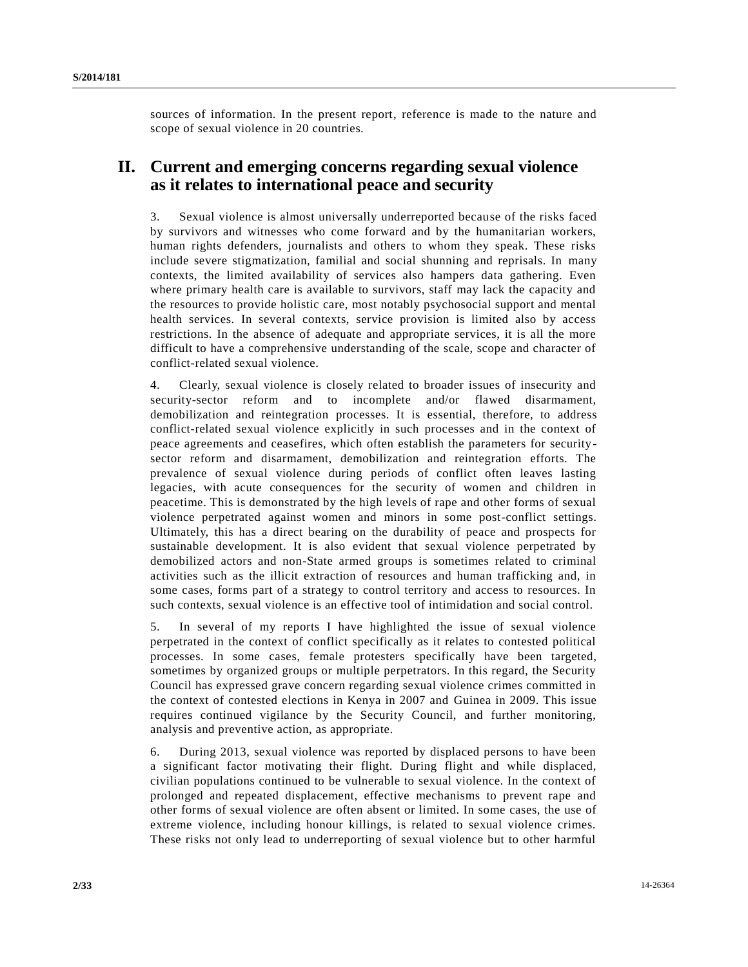sources of information. In the present report, reference is made to the nature and scope of sexual violence in 20 countries.

# **II. Current and emerging concerns regarding sexual violence as it relates to international peace and security**

3. Sexual violence is almost universally underreported because of the risks faced by survivors and witnesses who come forward and by the humanitarian workers, human rights defenders, journalists and others to whom they speak. These risks include severe stigmatization, familial and social shunning and reprisals. In many contexts, the limited availability of services also hampers data gathering. Even where primary health care is available to survivors, staff may lack the capacity and the resources to provide holistic care, most notably psychosocial support and mental health services. In several contexts, service provision is limited also by access restrictions. In the absence of adequate and appropriate services, it is all the more difficult to have a comprehensive understanding of the scale, scope and character of conflict-related sexual violence.

4. Clearly, sexual violence is closely related to broader issues of insecurity and security-sector reform and to incomplete and/or flawed disarmament, demobilization and reintegration processes. It is essential, therefore, to address conflict-related sexual violence explicitly in such processes and in the context of peace agreements and ceasefires, which often establish the parameters for securitysector reform and disarmament, demobilization and reintegration efforts. The prevalence of sexual violence during periods of conflict often leaves lasting legacies, with acute consequences for the security of women and children in peacetime. This is demonstrated by the high levels of rape and other forms of sexual violence perpetrated against women and minors in some post-conflict settings. Ultimately, this has a direct bearing on the durability of peace and prospects for sustainable development. It is also evident that sexual violence perpetrated by demobilized actors and non-State armed groups is sometimes related to criminal activities such as the illicit extraction of resources and human trafficking and, in some cases, forms part of a strategy to control territory and access to resources. In such contexts, sexual violence is an effective tool of intimidation and social control.

5. In several of my reports I have highlighted the issue of sexual violence perpetrated in the context of conflict specifically as it relates to contested political processes. In some cases, female protesters specifically have been targeted, sometimes by organized groups or multiple perpetrators. In this regard, the Security Council has expressed grave concern regarding sexual violence crimes committed in the context of contested elections in Kenya in 2007 and Guinea in 2009. This issue requires continued vigilance by the Security Council, and further monitoring, analysis and preventive action, as appropriate.

6. During 2013, sexual violence was reported by displaced persons to have been a significant factor motivating their flight. During flight and while displaced, civilian populations continued to be vulnerable to sexual violence. In the context of prolonged and repeated displacement, effective mechanisms to prevent rape and other forms of sexual violence are often absent or limited. In some cases, the use of extreme violence, including honour killings, is related to sexual violence crimes. These risks not only lead to underreporting of sexual violence but to other harmful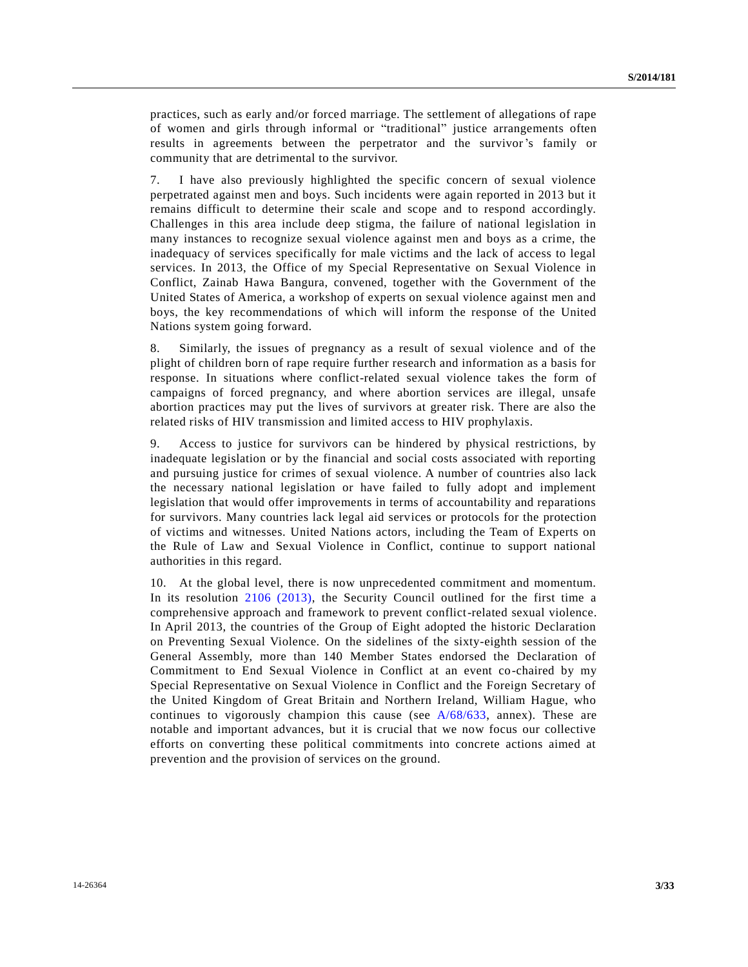practices, such as early and/or forced marriage. The settlement of allegations of rape of women and girls through informal or "traditional" justice arrangements often results in agreements between the perpetrator and the survivor's family or community that are detrimental to the survivor.

7. I have also previously highlighted the specific concern of sexual violence perpetrated against men and boys. Such incidents were again reported in 2013 but it remains difficult to determine their scale and scope and to respond accordingly. Challenges in this area include deep stigma, the failure of national legislation in many instances to recognize sexual violence against men and boys as a crime, the inadequacy of services specifically for male victims and the lack of access to legal services. In 2013, the Office of my Special Representative on Sexual Violence in Conflict, Zainab Hawa Bangura, convened, together with the Government of the United States of America, a workshop of experts on sexual violence against men and boys, the key recommendations of which will inform the response of the United Nations system going forward.

8. Similarly, the issues of pregnancy as a result of sexual violence and of the plight of children born of rape require further research and information as a basis for response. In situations where conflict-related sexual violence takes the form of campaigns of forced pregnancy, and where abortion services are illegal, unsafe abortion practices may put the lives of survivors at greater risk. There are also the related risks of HIV transmission and limited access to HIV prophylaxis.

9. Access to justice for survivors can be hindered by physical restrictions, by inadequate legislation or by the financial and social costs associated with reporting and pursuing justice for crimes of sexual violence. A number of countries also lack the necessary national legislation or have failed to fully adopt and implement legislation that would offer improvements in terms of accountability and reparations for survivors. Many countries lack legal aid services or protocols for the protection of victims and witnesses. United Nations actors, including the Team of Experts on the Rule of Law and Sexual Violence in Conflict, continue to support national authorities in this regard.

10. At the global level, there is now unprecedented commitment and momentum. In its resolution [2106 \(2013\),](http://undocs.org/S/RES/2106(2013)) the Security Council outlined for the first time a comprehensive approach and framework to prevent conflict-related sexual violence. In April 2013, the countries of the Group of Eight adopted the historic Declaration on Preventing Sexual Violence. On the sidelines of the sixty-eighth session of the General Assembly, more than 140 Member States endorsed the Declaration of Commitment to End Sexual Violence in Conflict at an event co-chaired by my Special Representative on Sexual Violence in Conflict and the Foreign Secretary of the United Kingdom of Great Britain and Northern Ireland, William Hague, who continues to vigorously champion this cause (see  $A/68/633$ , annex). These are notable and important advances, but it is crucial that we now focus our collective efforts on converting these political commitments into concrete actions aimed at prevention and the provision of services on the ground.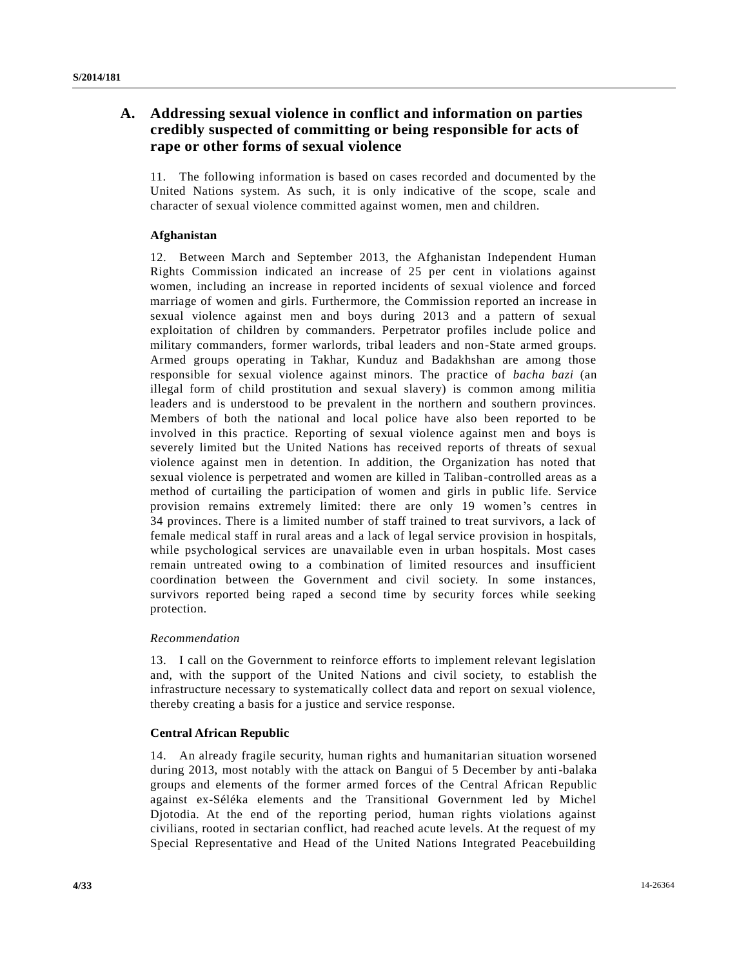# **A. Addressing sexual violence in conflict and information on parties credibly suspected of committing or being responsible for acts of rape or other forms of sexual violence**

11. The following information is based on cases recorded and documented by the United Nations system. As such, it is only indicative of the scope, scale and character of sexual violence committed against women, men and children.

# **Afghanistan**

12. Between March and September 2013, the Afghanistan Independent Human Rights Commission indicated an increase of 25 per cent in violations against women, including an increase in reported incidents of sexual violence and forced marriage of women and girls. Furthermore, the Commission reported an increase in sexual violence against men and boys during 2013 and a pattern of sexual exploitation of children by commanders. Perpetrator profiles include police and military commanders, former warlords, tribal leaders and non-State armed groups. Armed groups operating in Takhar, Kunduz and Badakhshan are among those responsible for sexual violence against minors. The practice of *bacha bazi* (an illegal form of child prostitution and sexual slavery) is common among militia leaders and is understood to be prevalent in the northern and southern provinces. Members of both the national and local police have also been reported to be involved in this practice. Reporting of sexual violence against men and boys is severely limited but the United Nations has received reports of threats of sexual violence against men in detention. In addition, the Organization has noted that sexual violence is perpetrated and women are killed in Taliban-controlled areas as a method of curtailing the participation of women and girls in public life. Service provision remains extremely limited: there are only 19 women's centres in 34 provinces. There is a limited number of staff trained to treat survivors, a lack of female medical staff in rural areas and a lack of legal service provision in hospitals, while psychological services are unavailable even in urban hospitals. Most cases remain untreated owing to a combination of limited resources and insufficient coordination between the Government and civil society. In some instances, survivors reported being raped a second time by security forces while seeking protection.

## *Recommendation*

13. I call on the Government to reinforce efforts to implement relevant legislation and, with the support of the United Nations and civil society, to establish the infrastructure necessary to systematically collect data and report on sexual violence, thereby creating a basis for a justice and service response.

## **Central African Republic**

14. An already fragile security, human rights and humanitarian situation worsened during 2013, most notably with the attack on Bangui of 5 December by anti-balaka groups and elements of the former armed forces of the Central African Republic against ex-Séléka elements and the Transitional Government led by Michel Djotodia. At the end of the reporting period, human rights violations against civilians, rooted in sectarian conflict, had reached acute levels. At the request of my Special Representative and Head of the United Nations Integrated Peacebuilding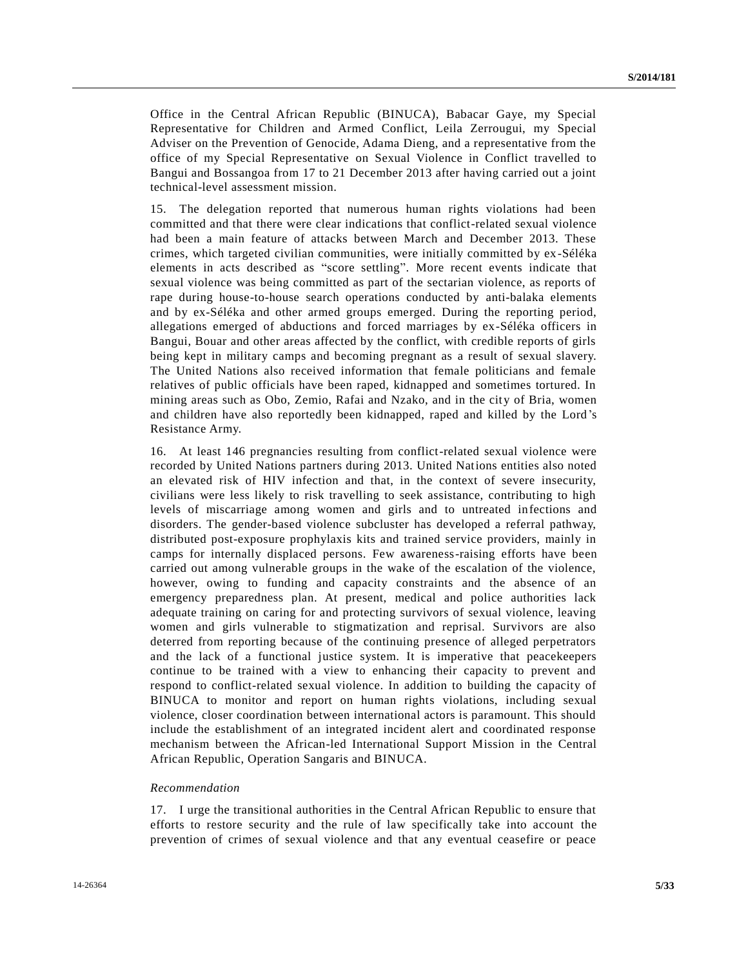Office in the Central African Republic (BINUCA), Babacar Gaye, my Special Representative for Children and Armed Conflict, Leila Zerrougui, my Special Adviser on the Prevention of Genocide, Adama Dieng, and a representative from the office of my Special Representative on Sexual Violence in Conflict travelled to Bangui and Bossangoa from 17 to 21 December 2013 after having carried out a joint technical-level assessment mission.

15. The delegation reported that numerous human rights violations had been committed and that there were clear indications that conflict-related sexual violence had been a main feature of attacks between March and December 2013. These crimes, which targeted civilian communities, were initially committed by ex-Séléka elements in acts described as "score settling". More recent events indicate that sexual violence was being committed as part of the sectarian violence, as reports of rape during house-to-house search operations conducted by anti-balaka elements and by ex-Séléka and other armed groups emerged. During the reporting period, allegations emerged of abductions and forced marriages by ex-Séléka officers in Bangui, Bouar and other areas affected by the conflict, with credible reports of girls being kept in military camps and becoming pregnant as a result of sexual slavery. The United Nations also received information that female politicians and female relatives of public officials have been raped, kidnapped and sometimes tortured. In mining areas such as Obo, Zemio, Rafai and Nzako, and in the city of Bria, women and children have also reportedly been kidnapped, raped and killed by the Lord 's Resistance Army.

16. At least 146 pregnancies resulting from conflict-related sexual violence were recorded by United Nations partners during 2013. United Nations entities also noted an elevated risk of HIV infection and that, in the context of severe insecurity, civilians were less likely to risk travelling to seek assistance, contributing to high levels of miscarriage among women and girls and to untreated infections and disorders. The gender-based violence subcluster has developed a referral pathway, distributed post-exposure prophylaxis kits and trained service providers, mainly in camps for internally displaced persons. Few awareness-raising efforts have been carried out among vulnerable groups in the wake of the escalation of the violence, however, owing to funding and capacity constraints and the absence of an emergency preparedness plan. At present, medical and police authorities lack adequate training on caring for and protecting survivors of sexual violence, leaving women and girls vulnerable to stigmatization and reprisal. Survivors are also deterred from reporting because of the continuing presence of alleged perpetrators and the lack of a functional justice system. It is imperative that peacekeepers continue to be trained with a view to enhancing their capacity to prevent and respond to conflict-related sexual violence. In addition to building the capacity of BINUCA to monitor and report on human rights violations, including sexual violence, closer coordination between international actors is paramount. This should include the establishment of an integrated incident alert and coordinated response mechanism between the African-led International Support Mission in the Central African Republic, Operation Sangaris and BINUCA.

### *Recommendation*

17. I urge the transitional authorities in the Central African Republic to ensure that efforts to restore security and the rule of law specifically take into account the prevention of crimes of sexual violence and that any eventual ceasefire or peace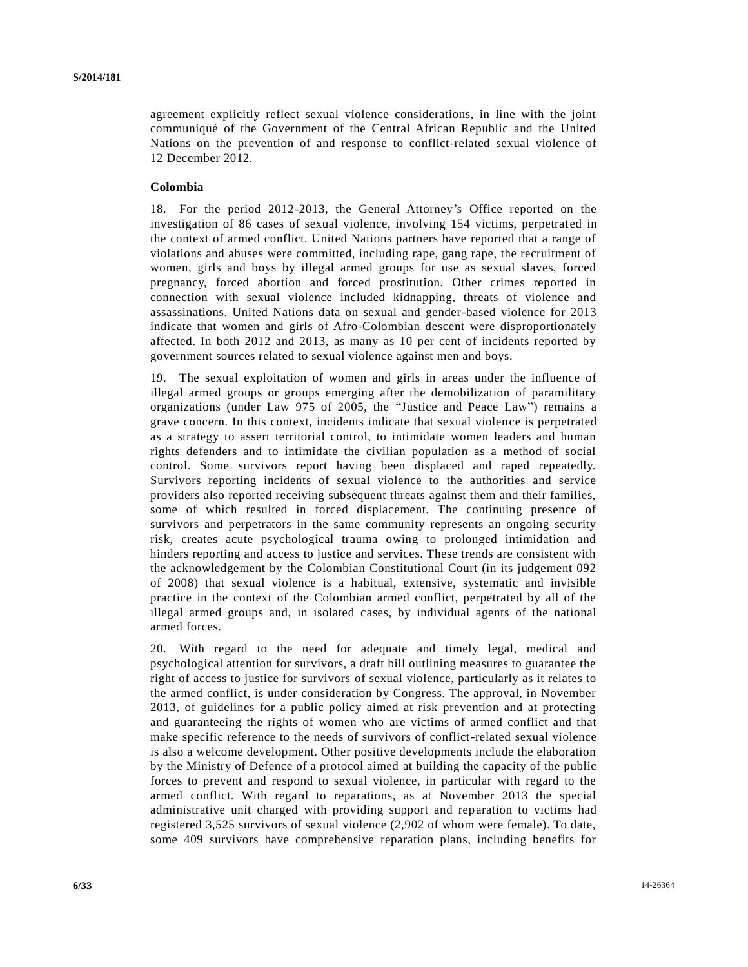agreement explicitly reflect sexual violence considerations, in line with the joint communiqué of the Government of the Central African Republic and the United Nations on the prevention of and response to conflict-related sexual violence of 12 December 2012.

# **Colombia**

18. For the period 2012-2013, the General Attorney's Office reported on the investigation of 86 cases of sexual violence, involving 154 victims, perpetrated in the context of armed conflict. United Nations partners have reported that a range of violations and abuses were committed, including rape, gang rape, the recruitment of women, girls and boys by illegal armed groups for use as sexual slaves, forced pregnancy, forced abortion and forced prostitution. Other crimes reported in connection with sexual violence included kidnapping, threats of violence and assassinations. United Nations data on sexual and gender-based violence for 2013 indicate that women and girls of Afro-Colombian descent were disproportionately affected. In both 2012 and 2013, as many as 10 per cent of incidents reported by government sources related to sexual violence against men and boys.

19. The sexual exploitation of women and girls in areas under the influence of illegal armed groups or groups emerging after the demobilization of paramilitary organizations (under Law 975 of 2005, the "Justice and Peace Law") remains a grave concern. In this context, incidents indicate that sexual violence is perpetrated as a strategy to assert territorial control, to intimidate women leaders and human rights defenders and to intimidate the civilian population as a method of social control. Some survivors report having been displaced and raped repeatedly. Survivors reporting incidents of sexual violence to the authorities and service providers also reported receiving subsequent threats against them and their families, some of which resulted in forced displacement. The continuing presence of survivors and perpetrators in the same community represents an ongoing security risk, creates acute psychological trauma owing to prolonged intimidation and hinders reporting and access to justice and services. These trends are consistent with the acknowledgement by the Colombian Constitutional Court (in its judgement 092 of 2008) that sexual violence is a habitual, extensive, systematic and invisible practice in the context of the Colombian armed conflict, perpetrated by all of the illegal armed groups and, in isolated cases, by individual agents of the national armed forces.

20. With regard to the need for adequate and timely legal, medical and psychological attention for survivors, a draft bill outlining measures to guarantee the right of access to justice for survivors of sexual violence, particularly as it relates to the armed conflict, is under consideration by Congress. The approval, in November 2013, of guidelines for a public policy aimed at risk prevention and at protecting and guaranteeing the rights of women who are victims of armed conflict and that make specific reference to the needs of survivors of conflict-related sexual violence is also a welcome development. Other positive developments include the elaboration by the Ministry of Defence of a protocol aimed at building the capacity of the public forces to prevent and respond to sexual violence, in particular with regard to the armed conflict. With regard to reparations, as at November 2013 the special administrative unit charged with providing support and reparation to victims had registered 3,525 survivors of sexual violence (2,902 of whom were female). To date, some 409 survivors have comprehensive reparation plans, including benefits for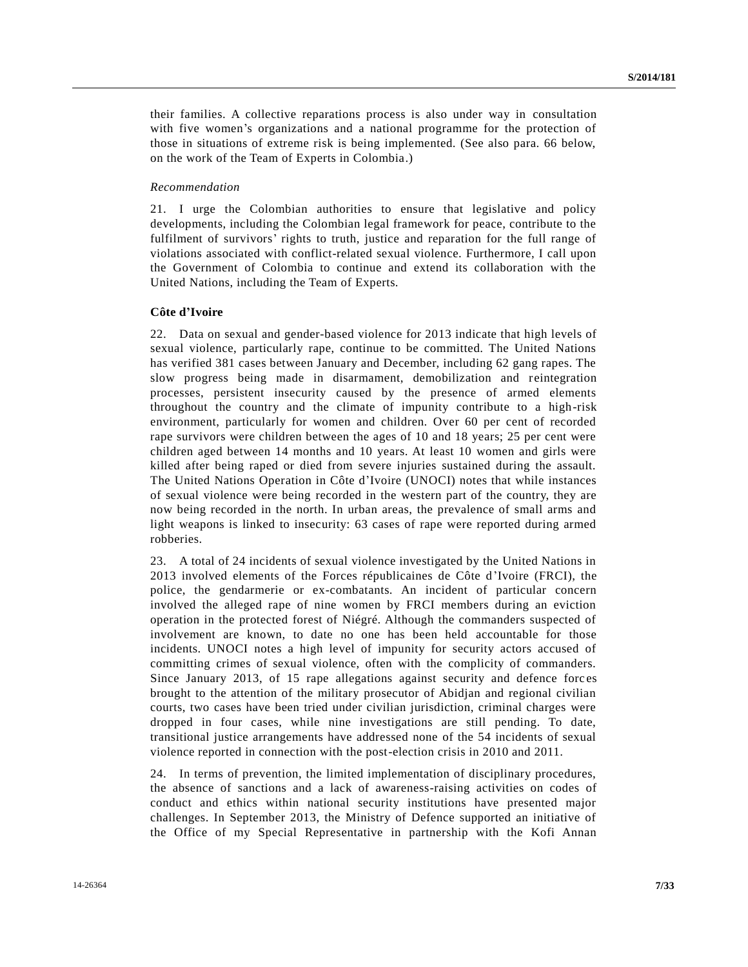their families. A collective reparations process is also under way in consultation with five women's organizations and a national programme for the protection of those in situations of extreme risk is being implemented. (See also para. 66 below, on the work of the Team of Experts in Colombia.)

## *Recommendation*

21. I urge the Colombian authorities to ensure that legislative and policy developments, including the Colombian legal framework for peace, contribute to the fulfilment of survivors' rights to truth, justice and reparation for the full range of violations associated with conflict-related sexual violence. Furthermore, I call upon the Government of Colombia to continue and extend its collaboration with the United Nations, including the Team of Experts.

#### **Côte d'Ivoire**

22. Data on sexual and gender-based violence for 2013 indicate that high levels of sexual violence, particularly rape, continue to be committed. The United Nations has verified 381 cases between January and December, including 62 gang rapes. The slow progress being made in disarmament, demobilization and reintegration processes, persistent insecurity caused by the presence of armed elements throughout the country and the climate of impunity contribute to a high-risk environment, particularly for women and children. Over 60 per cent of recorded rape survivors were children between the ages of 10 and 18 years; 25 per cent were children aged between 14 months and 10 years. At least 10 women and girls were killed after being raped or died from severe injuries sustained during the assault. The United Nations Operation in Côte d'Ivoire (UNOCI) notes that while instances of sexual violence were being recorded in the western part of the country, they are now being recorded in the north. In urban areas, the prevalence of small arms and light weapons is linked to insecurity: 63 cases of rape were reported during armed robberies.

23. A total of 24 incidents of sexual violence investigated by the United Nations in 2013 involved elements of the Forces républicaines de Côte d'Ivoire (FRCI), the police, the gendarmerie or ex-combatants. An incident of particular concern involved the alleged rape of nine women by FRCI members during an eviction operation in the protected forest of Niégré. Although the commanders suspected of involvement are known, to date no one has been held accountable for those incidents. UNOCI notes a high level of impunity for security actors accused of committing crimes of sexual violence, often with the complicity of commanders. Since January 2013, of 15 rape allegations against security and defence forc es brought to the attention of the military prosecutor of Abidjan and regional civilian courts, two cases have been tried under civilian jurisdiction, criminal charges were dropped in four cases, while nine investigations are still pending. To date, transitional justice arrangements have addressed none of the 54 incidents of sexual violence reported in connection with the post-election crisis in 2010 and 2011.

24. In terms of prevention, the limited implementation of disciplinary procedures, the absence of sanctions and a lack of awareness-raising activities on codes of conduct and ethics within national security institutions have presented major challenges. In September 2013, the Ministry of Defence supported an initiative of the Office of my Special Representative in partnership with the Kofi Annan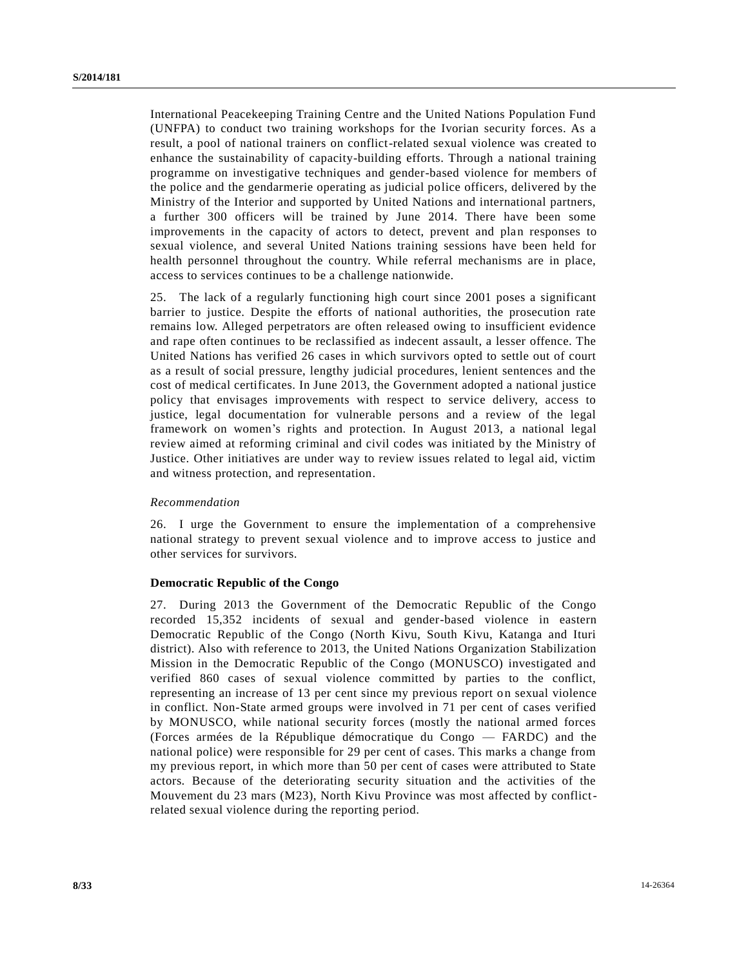International Peacekeeping Training Centre and the United Nations Population Fund (UNFPA) to conduct two training workshops for the Ivorian security forces. As a result, a pool of national trainers on conflict-related sexual violence was created to enhance the sustainability of capacity-building efforts. Through a national training programme on investigative techniques and gender-based violence for members of the police and the gendarmerie operating as judicial police officers, delivered by the Ministry of the Interior and supported by United Nations and international partners, a further 300 officers will be trained by June 2014. There have been some improvements in the capacity of actors to detect, prevent and plan responses to sexual violence, and several United Nations training sessions have been held for health personnel throughout the country. While referral mechanisms are in place, access to services continues to be a challenge nationwide.

25. The lack of a regularly functioning high court since 2001 poses a significant barrier to justice. Despite the efforts of national authorities, the prosecution rate remains low. Alleged perpetrators are often released owing to insufficient evidence and rape often continues to be reclassified as indecent assault, a lesser offence. The United Nations has verified 26 cases in which survivors opted to settle out of court as a result of social pressure, lengthy judicial procedures, lenient sentences and the cost of medical certificates. In June 2013, the Government adopted a national justice policy that envisages improvements with respect to service delivery, access to justice, legal documentation for vulnerable persons and a review of the legal framework on women's rights and protection. In August 2013, a national legal review aimed at reforming criminal and civil codes was initiated by the Ministry of Justice. Other initiatives are under way to review issues related to legal aid, victim and witness protection, and representation.

### *Recommendation*

26. I urge the Government to ensure the implementation of a comprehensive national strategy to prevent sexual violence and to improve access to justice and other services for survivors.

## **Democratic Republic of the Congo**

27. During 2013 the Government of the Democratic Republic of the Congo recorded 15,352 incidents of sexual and gender-based violence in eastern Democratic Republic of the Congo (North Kivu, South Kivu, Katanga and Ituri district). Also with reference to 2013, the United Nations Organization Stabilization Mission in the Democratic Republic of the Congo (MONUSCO) investigated and verified 860 cases of sexual violence committed by parties to the conflict, representing an increase of 13 per cent since my previous report on sexual violence in conflict. Non-State armed groups were involved in 71 per cent of cases verified by MONUSCO, while national security forces (mostly the national armed forces (Forces armées de la République démocratique du Congo — FARDC) and the national police) were responsible for 29 per cent of cases. This marks a change from my previous report, in which more than 50 per cent of cases were attributed to State actors. Because of the deteriorating security situation and the activities of the Mouvement du 23 mars (M23), North Kivu Province was most affected by conflictrelated sexual violence during the reporting period.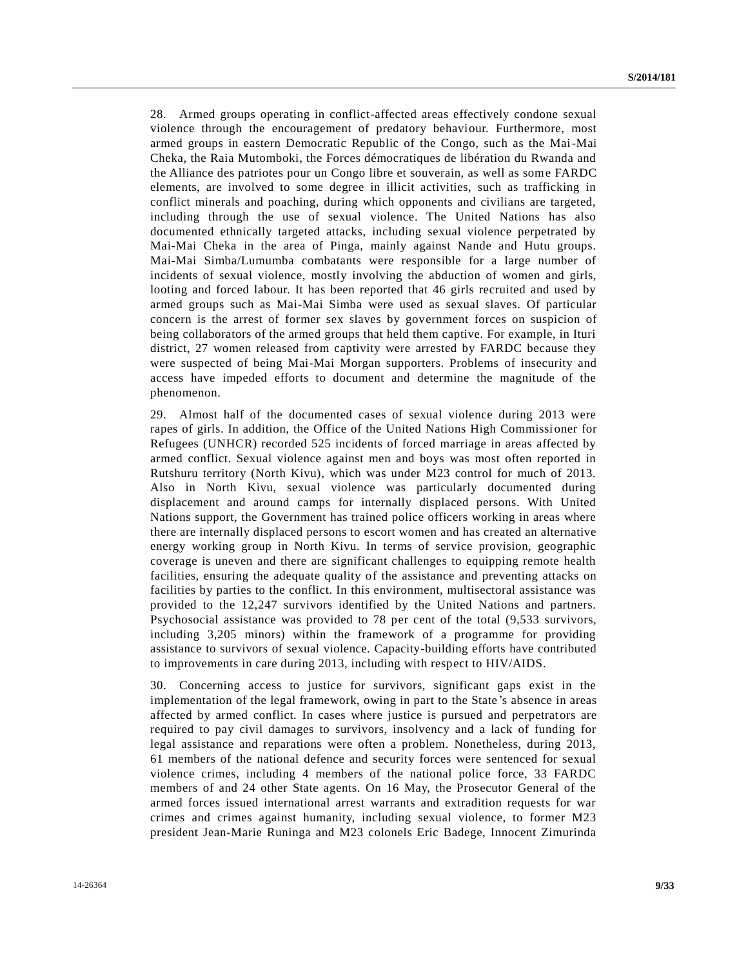28. Armed groups operating in conflict-affected areas effectively condone sexual violence through the encouragement of predatory behaviour. Furthermore, most armed groups in eastern Democratic Republic of the Congo, such as the Mai-Mai Cheka, the Raia Mutomboki, the Forces démocratiques de libération du Rwanda and the Alliance des patriotes pour un Congo libre et souverain, as well as some FARDC elements, are involved to some degree in illicit activities, such as trafficking in conflict minerals and poaching, during which opponents and civilians are targeted, including through the use of sexual violence. The United Nations has also documented ethnically targeted attacks, including sexual violence perpetrated by Mai-Mai Cheka in the area of Pinga, mainly against Nande and Hutu groups. Mai-Mai Simba/Lumumba combatants were responsible for a large number of incidents of sexual violence, mostly involving the abduction of women and girls, looting and forced labour. It has been reported that 46 girls recruited and used by armed groups such as Mai-Mai Simba were used as sexual slaves. Of particular concern is the arrest of former sex slaves by government forces on suspicion of being collaborators of the armed groups that held them captive. For example, in Ituri district, 27 women released from captivity were arrested by FARDC because they were suspected of being Mai-Mai Morgan supporters. Problems of insecurity and access have impeded efforts to document and determine the magnitude of the phenomenon.

29. Almost half of the documented cases of sexual violence during 2013 were rapes of girls. In addition, the Office of the United Nations High Commissi oner for Refugees (UNHCR) recorded 525 incidents of forced marriage in areas affected by armed conflict. Sexual violence against men and boys was most often reported in Rutshuru territory (North Kivu), which was under M23 control for much of 2013. Also in North Kivu, sexual violence was particularly documented during displacement and around camps for internally displaced persons. With United Nations support, the Government has trained police officers working in areas where there are internally displaced persons to escort women and has created an alternative energy working group in North Kivu. In terms of service provision, geographic coverage is uneven and there are significant challenges to equipping remote health facilities, ensuring the adequate quality of the assistance and preventing attacks on facilities by parties to the conflict. In this environment, multisectoral assistance was provided to the 12,247 survivors identified by the United Nations and partners. Psychosocial assistance was provided to 78 per cent of the total (9,533 survivors, including 3,205 minors) within the framework of a programme for providing assistance to survivors of sexual violence. Capacity-building efforts have contributed to improvements in care during 2013, including with respect to HIV/AIDS.

30. Concerning access to justice for survivors, significant gaps exist in the implementation of the legal framework, owing in part to the State 's absence in areas affected by armed conflict. In cases where justice is pursued and perpetrators are required to pay civil damages to survivors, insolvency and a lack of funding for legal assistance and reparations were often a problem. Nonetheless, during 2013, 61 members of the national defence and security forces were sentenced for sexual violence crimes, including 4 members of the national police force, 33 FARDC members of and 24 other State agents. On 16 May, the Prosecutor General of the armed forces issued international arrest warrants and extradition requests for war crimes and crimes against humanity, including sexual violence, to former M23 president Jean-Marie Runinga and M23 colonels Eric Badege, Innocent Zimurinda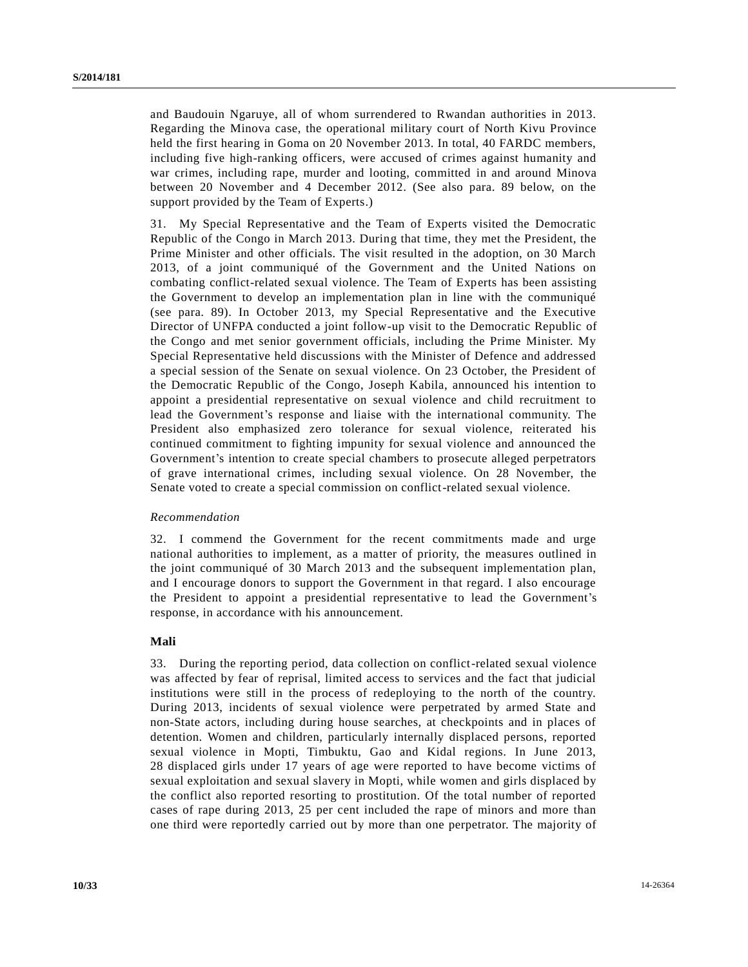and Baudouin Ngaruye, all of whom surrendered to Rwandan authorities in 2013. Regarding the Minova case, the operational military court of North Kivu Province held the first hearing in Goma on 20 November 2013. In total, 40 FARDC members, including five high-ranking officers, were accused of crimes against humanity and war crimes, including rape, murder and looting, committed in and around Minova between 20 November and 4 December 2012. (See also para. 89 below, on the support provided by the Team of Experts.)

31. My Special Representative and the Team of Experts visited the Democratic Republic of the Congo in March 2013. During that time, they met the President, the Prime Minister and other officials. The visit resulted in the adoption, on 30 March 2013, of a joint communiqué of the Government and the United Nations on combating conflict-related sexual violence. The Team of Experts has been assisting the Government to develop an implementation plan in line with the communiqué (see para. 89). In October 2013, my Special Representative and the Executive Director of UNFPA conducted a joint follow-up visit to the Democratic Republic of the Congo and met senior government officials, including the Prime Minister. My Special Representative held discussions with the Minister of Defence and addressed a special session of the Senate on sexual violence. On 23 October, the President of the Democratic Republic of the Congo, Joseph Kabila, announced his intention to appoint a presidential representative on sexual violence and child recruitment to lead the Government's response and liaise with the international community. The President also emphasized zero tolerance for sexual violence, reiterated his continued commitment to fighting impunity for sexual violence and announced the Government's intention to create special chambers to prosecute alleged perpetrators of grave international crimes, including sexual violence. On 28 November, the Senate voted to create a special commission on conflict-related sexual violence.

### *Recommendation*

32. I commend the Government for the recent commitments made and urge national authorities to implement, as a matter of priority, the measures outlined in the joint communiqué of 30 March 2013 and the subsequent implementation plan, and I encourage donors to support the Government in that regard. I also encourage the President to appoint a presidential representative to lead the Government's response, in accordance with his announcement.

## **Mali**

33. During the reporting period, data collection on conflict-related sexual violence was affected by fear of reprisal, limited access to services and the fact that judicial institutions were still in the process of redeploying to the north of the country. During 2013, incidents of sexual violence were perpetrated by armed State and non-State actors, including during house searches, at checkpoints and in places of detention. Women and children, particularly internally displaced persons, reported sexual violence in Mopti, Timbuktu, Gao and Kidal regions. In June 2013, 28 displaced girls under 17 years of age were reported to have become victims of sexual exploitation and sexual slavery in Mopti, while women and girls displaced by the conflict also reported resorting to prostitution. Of the total number of reported cases of rape during 2013, 25 per cent included the rape of minors and more than one third were reportedly carried out by more than one perpetrator. The majority of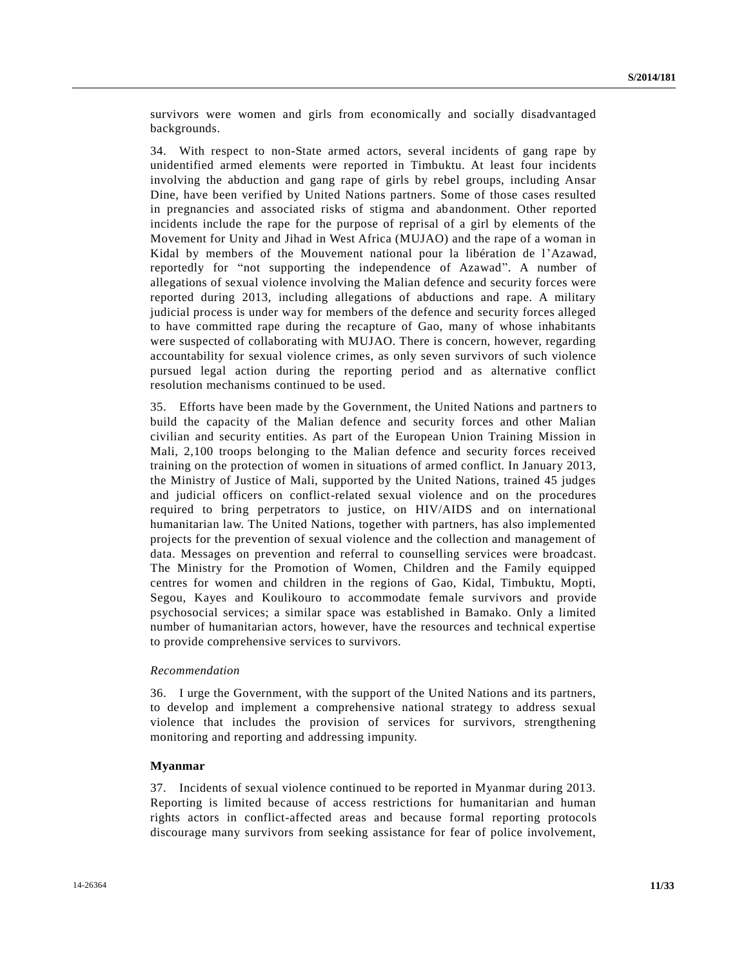survivors were women and girls from economically and socially disadvantaged backgrounds.

34. With respect to non-State armed actors, several incidents of gang rape by unidentified armed elements were reported in Timbuktu. At least four incidents involving the abduction and gang rape of girls by rebel groups, including Ansar Dine, have been verified by United Nations partners. Some of those cases resulted in pregnancies and associated risks of stigma and abandonment. Other reported incidents include the rape for the purpose of reprisal of a girl by elements of the Movement for Unity and Jihad in West Africa (MUJAO) and the rape of a woman in Kidal by members of the Mouvement national pour la libération de l'Azawad, reportedly for "not supporting the independence of Azawad". A number of allegations of sexual violence involving the Malian defence and security forces were reported during 2013, including allegations of abductions and rape. A military judicial process is under way for members of the defence and security forces alleged to have committed rape during the recapture of Gao, many of whose inhabitants were suspected of collaborating with MUJAO. There is concern, however, regarding accountability for sexual violence crimes, as only seven survivors of such violence pursued legal action during the reporting period and as alternative conflict resolution mechanisms continued to be used.

35. Efforts have been made by the Government, the United Nations and partners to build the capacity of the Malian defence and security forces and other Malian civilian and security entities. As part of the European Union Training Mission in Mali, 2,100 troops belonging to the Malian defence and security forces received training on the protection of women in situations of armed conflict. In January 2013, the Ministry of Justice of Mali, supported by the United Nations, trained 45 judges and judicial officers on conflict-related sexual violence and on the procedures required to bring perpetrators to justice, on HIV/AIDS and on international humanitarian law. The United Nations, together with partners, has also implemented projects for the prevention of sexual violence and the collection and management of data. Messages on prevention and referral to counselling services were broadcast. The Ministry for the Promotion of Women, Children and the Family equipped centres for women and children in the regions of Gao, Kidal, Timbuktu, Mopti, Segou, Kayes and Koulikouro to accommodate female survivors and provide psychosocial services; a similar space was established in Bamako. Only a limited number of humanitarian actors, however, have the resources and technical expertise to provide comprehensive services to survivors.

## *Recommendation*

36. I urge the Government, with the support of the United Nations and its partners, to develop and implement a comprehensive national strategy to address sexual violence that includes the provision of services for survivors, strengthening monitoring and reporting and addressing impunity.

### **Myanmar**

37. Incidents of sexual violence continued to be reported in Myanmar during 2013. Reporting is limited because of access restrictions for humanitarian and human rights actors in conflict-affected areas and because formal reporting protocols discourage many survivors from seeking assistance for fear of police involvement,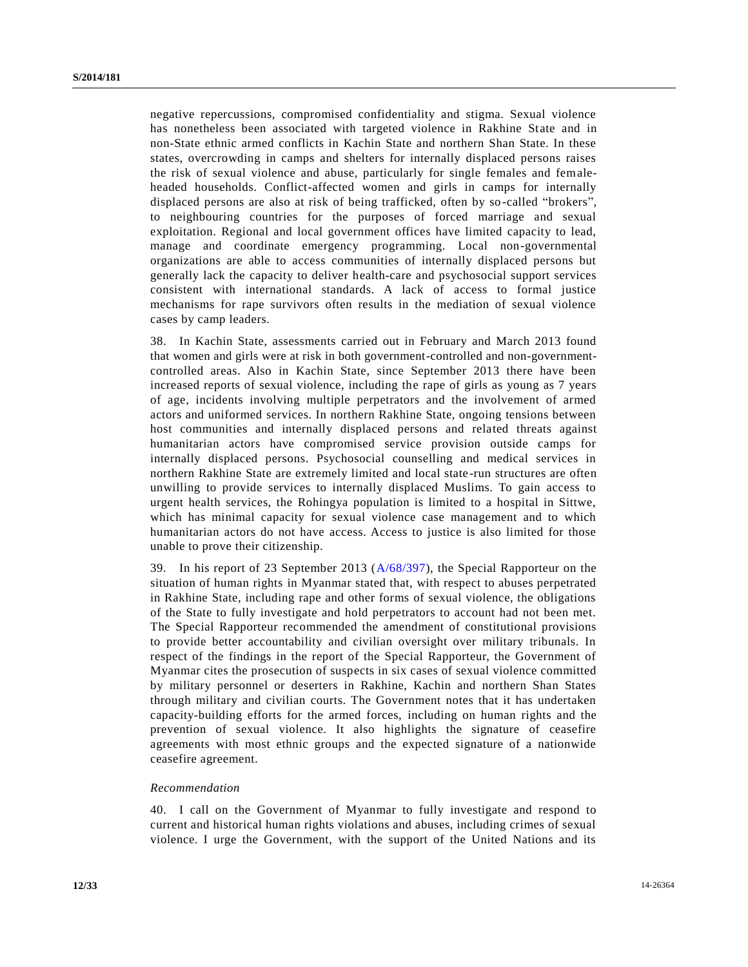negative repercussions, compromised confidentiality and stigma. Sexual violence has nonetheless been associated with targeted violence in Rakhine State and in non-State ethnic armed conflicts in Kachin State and northern Shan State. In these states, overcrowding in camps and shelters for internally displaced persons raises the risk of sexual violence and abuse, particularly for single females and femaleheaded households. Conflict-affected women and girls in camps for internally displaced persons are also at risk of being trafficked, often by so-called "brokers", to neighbouring countries for the purposes of forced marriage and sexual exploitation. Regional and local government offices have limited capacity to lead, manage and coordinate emergency programming. Local non-governmental organizations are able to access communities of internally displaced persons but generally lack the capacity to deliver health-care and psychosocial support services consistent with international standards. A lack of access to formal justice mechanisms for rape survivors often results in the mediation of sexual violence cases by camp leaders.

38. In Kachin State, assessments carried out in February and March 2013 found that women and girls were at risk in both government-controlled and non-governmentcontrolled areas. Also in Kachin State, since September 2013 there have been increased reports of sexual violence, including the rape of girls as young as 7 years of age, incidents involving multiple perpetrators and the involvement of armed actors and uniformed services. In northern Rakhine State, ongoing tensions between host communities and internally displaced persons and related threats against humanitarian actors have compromised service provision outside camps for internally displaced persons. Psychosocial counselling and medical services in northern Rakhine State are extremely limited and local state-run structures are often unwilling to provide services to internally displaced Muslims. To gain access to urgent health services, the Rohingya population is limited to a hospital in Sittwe, which has minimal capacity for sexual violence case management and to which humanitarian actors do not have access. Access to justice is also limited for those unable to prove their citizenship.

39. In his report of 23 September 2013 [\(A/68/397\)](http://undocs.org/A/68/397), the Special Rapporteur on the situation of human rights in Myanmar stated that, with respect to abuses perpetrated in Rakhine State, including rape and other forms of sexual violence, the obligations of the State to fully investigate and hold perpetrators to account had not been met. The Special Rapporteur recommended the amendment of constitutional provisions to provide better accountability and civilian oversight over military tribunals. In respect of the findings in the report of the Special Rapporteur, the Government of Myanmar cites the prosecution of suspects in six cases of sexual violence committed by military personnel or deserters in Rakhine, Kachin and northern Shan States through military and civilian courts. The Government notes that it has undertaken capacity-building efforts for the armed forces, including on human rights and the prevention of sexual violence. It also highlights the signature of ceasefire agreements with most ethnic groups and the expected signature of a nationwide ceasefire agreement.

#### *Recommendation*

40. I call on the Government of Myanmar to fully investigate and respond to current and historical human rights violations and abuses, including crimes of sexual violence. I urge the Government, with the support of the United Nations and its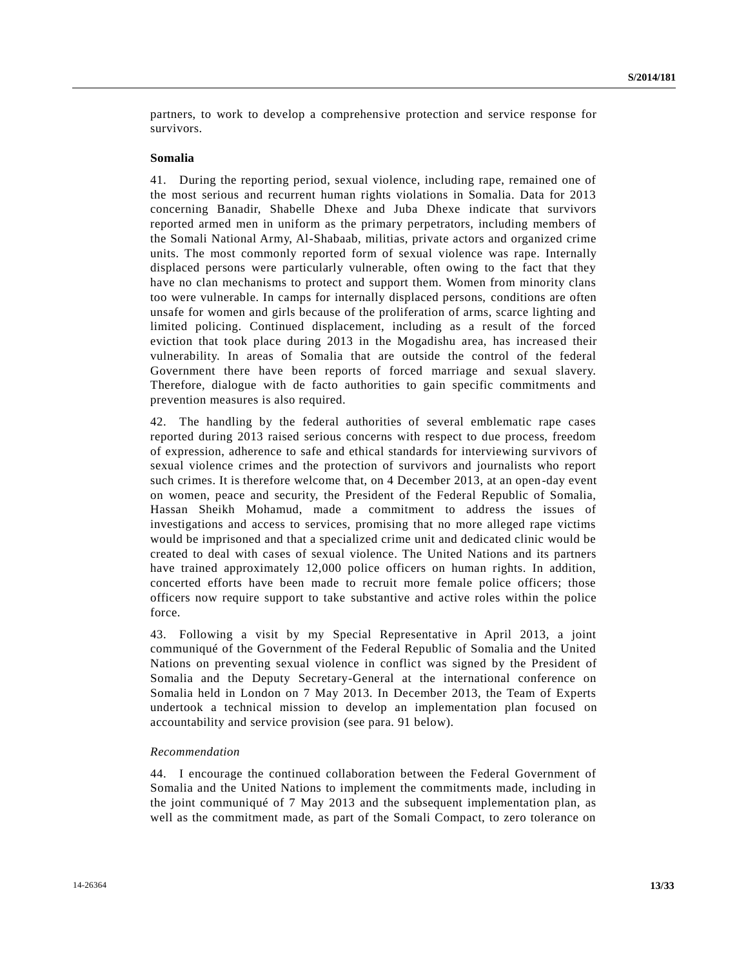partners, to work to develop a comprehensive protection and service response for survivors.

### **Somalia**

41. During the reporting period, sexual violence, including rape, remained one of the most serious and recurrent human rights violations in Somalia. Data for 2013 concerning Banadir, Shabelle Dhexe and Juba Dhexe indicate that survivors reported armed men in uniform as the primary perpetrators, including members of the Somali National Army, Al-Shabaab, militias, private actors and organized crime units. The most commonly reported form of sexual violence was rape. Internally displaced persons were particularly vulnerable, often owing to the fact that they have no clan mechanisms to protect and support them. Women from minority clans too were vulnerable. In camps for internally displaced persons, conditions are often unsafe for women and girls because of the proliferation of arms, scarce lighting and limited policing. Continued displacement, including as a result of the forced eviction that took place during 2013 in the Mogadishu area, has increased their vulnerability. In areas of Somalia that are outside the control of the federal Government there have been reports of forced marriage and sexual slavery. Therefore, dialogue with de facto authorities to gain specific commitments and prevention measures is also required.

42. The handling by the federal authorities of several emblematic rape cases reported during 2013 raised serious concerns with respect to due process, freedom of expression, adherence to safe and ethical standards for interviewing sur vivors of sexual violence crimes and the protection of survivors and journalists who report such crimes. It is therefore welcome that, on 4 December 2013, at an open-day event on women, peace and security, the President of the Federal Republic of Somalia, Hassan Sheikh Mohamud, made a commitment to address the issues of investigations and access to services, promising that no more alleged rape victims would be imprisoned and that a specialized crime unit and dedicated clinic would be created to deal with cases of sexual violence. The United Nations and its partners have trained approximately 12,000 police officers on human rights. In addition, concerted efforts have been made to recruit more female police officers; those officers now require support to take substantive and active roles within the police force.

43. Following a visit by my Special Representative in April 2013, a joint communiqué of the Government of the Federal Republic of Somalia and the United Nations on preventing sexual violence in conflict was signed by the President of Somalia and the Deputy Secretary-General at the international conference on Somalia held in London on 7 May 2013. In December 2013, the Team of Experts undertook a technical mission to develop an implementation plan focused on accountability and service provision (see para. 91 below).

## *Recommendation*

44. I encourage the continued collaboration between the Federal Government of Somalia and the United Nations to implement the commitments made, including in the joint communiqué of 7 May 2013 and the subsequent implementation plan, as well as the commitment made, as part of the Somali Compact, to zero tolerance on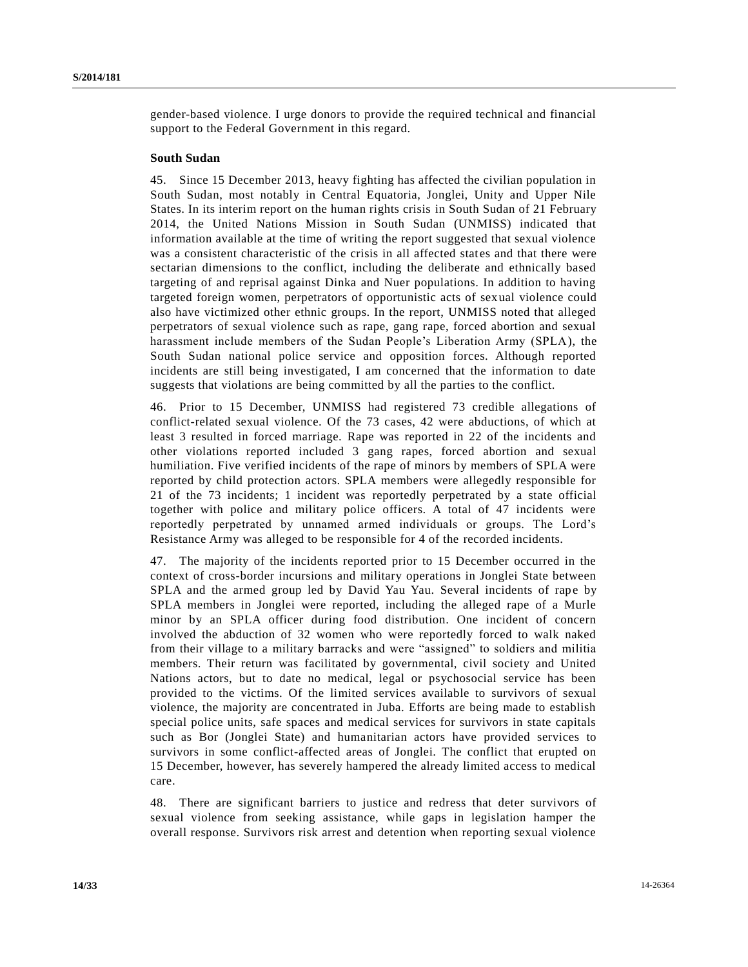gender-based violence. I urge donors to provide the required technical and financial support to the Federal Government in this regard.

## **South Sudan**

45. Since 15 December 2013, heavy fighting has affected the civilian population in South Sudan, most notably in Central Equatoria, Jonglei, Unity and Upper Nile States. In its interim report on the human rights crisis in South Sudan of 21 February 2014, the United Nations Mission in South Sudan (UNMISS) indicated that information available at the time of writing the report suggested that sexual violence was a consistent characteristic of the crisis in all affected states and that there were sectarian dimensions to the conflict, including the deliberate and ethnically based targeting of and reprisal against Dinka and Nuer populations. In addition to having targeted foreign women, perpetrators of opportunistic acts of sexual violence could also have victimized other ethnic groups. In the report, UNMISS noted that alleged perpetrators of sexual violence such as rape, gang rape, forced abortion and sexual harassment include members of the Sudan People's Liberation Army (SPLA), the South Sudan national police service and opposition forces. Although reported incidents are still being investigated, I am concerned that the information to date suggests that violations are being committed by all the parties to the conflict.

46. Prior to 15 December, UNMISS had registered 73 credible allegations of conflict-related sexual violence. Of the 73 cases, 42 were abductions, of which at least 3 resulted in forced marriage. Rape was reported in 22 of the incidents and other violations reported included 3 gang rapes, forced abortion and sexual humiliation. Five verified incidents of the rape of minors by members of SPLA were reported by child protection actors. SPLA members were allegedly responsible for 21 of the 73 incidents; 1 incident was reportedly perpetrated by a state official together with police and military police officers. A total of 47 incidents were reportedly perpetrated by unnamed armed individuals or groups. The Lord's Resistance Army was alleged to be responsible for 4 of the recorded incidents.

47. The majority of the incidents reported prior to 15 December occurred in the context of cross-border incursions and military operations in Jonglei State between SPLA and the armed group led by David Yau Yau. Several incidents of rape by SPLA members in Jonglei were reported, including the alleged rape of a Murle minor by an SPLA officer during food distribution. One incident of concern involved the abduction of 32 women who were reportedly forced to walk naked from their village to a military barracks and were "assigned" to soldiers and militia members. Their return was facilitated by governmental, civil society and United Nations actors, but to date no medical, legal or psychosocial service has been provided to the victims. Of the limited services available to survivors of sexual violence, the majority are concentrated in Juba. Efforts are being made to establish special police units, safe spaces and medical services for survivors in state capitals such as Bor (Jonglei State) and humanitarian actors have provided services to survivors in some conflict-affected areas of Jonglei. The conflict that erupted on 15 December, however, has severely hampered the already limited access to medical care.

48. There are significant barriers to justice and redress that deter survivors of sexual violence from seeking assistance, while gaps in legislation hamper the overall response. Survivors risk arrest and detention when reporting sexual violence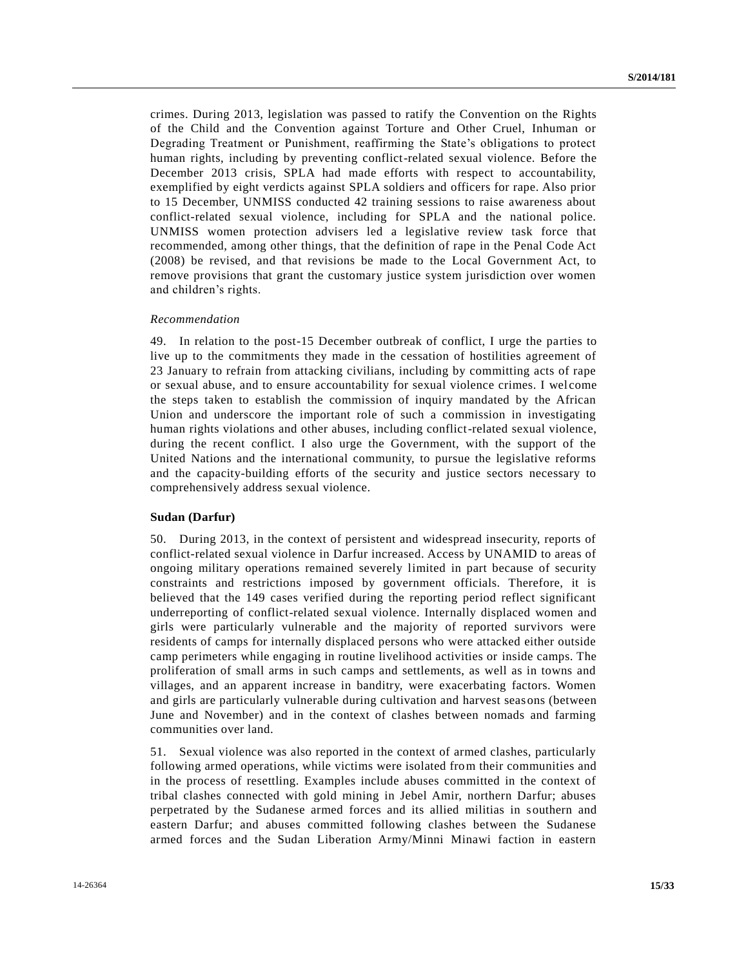crimes. During 2013, legislation was passed to ratify the Convention on the Rights of the Child and the Convention against Torture and Other Cruel, Inhuman or Degrading Treatment or Punishment, reaffirming the State's obligations to protect human rights, including by preventing conflict-related sexual violence. Before the December 2013 crisis, SPLA had made efforts with respect to accountability, exemplified by eight verdicts against SPLA soldiers and officers for rape. Also prior to 15 December, UNMISS conducted 42 training sessions to raise awareness about conflict-related sexual violence, including for SPLA and the national police. UNMISS women protection advisers led a legislative review task force that recommended, among other things, that the definition of rape in the Penal Code Act (2008) be revised, and that revisions be made to the Local Government Act, to remove provisions that grant the customary justice system jurisdiction over women and children's rights.

#### *Recommendation*

49. In relation to the post-15 December outbreak of conflict, I urge the parties to live up to the commitments they made in the cessation of hostilities agreement of 23 January to refrain from attacking civilians, including by committing acts of rape or sexual abuse, and to ensure accountability for sexual violence crimes. I wel come the steps taken to establish the commission of inquiry mandated by the African Union and underscore the important role of such a commission in investigating human rights violations and other abuses, including conflict-related sexual violence, during the recent conflict. I also urge the Government, with the support of the United Nations and the international community, to pursue the legislative reforms and the capacity-building efforts of the security and justice sectors necessary to comprehensively address sexual violence.

## **Sudan (Darfur)**

50. During 2013, in the context of persistent and widespread insecurity, reports of conflict-related sexual violence in Darfur increased. Access by UNAMID to areas of ongoing military operations remained severely limited in part because of security constraints and restrictions imposed by government officials. Therefore, it is believed that the 149 cases verified during the reporting period reflect significant underreporting of conflict-related sexual violence. Internally displaced women and girls were particularly vulnerable and the majority of reported survivors were residents of camps for internally displaced persons who were attacked either outside camp perimeters while engaging in routine livelihood activities or inside camps. The proliferation of small arms in such camps and settlements, as well as in towns and villages, and an apparent increase in banditry, were exacerbating factors. Women and girls are particularly vulnerable during cultivation and harvest seasons (between June and November) and in the context of clashes between nomads and farming communities over land.

51. Sexual violence was also reported in the context of armed clashes, particularly following armed operations, while victims were isolated from their communities and in the process of resettling. Examples include abuses committed in the context of tribal clashes connected with gold mining in Jebel Amir, northern Darfur; abuses perpetrated by the Sudanese armed forces and its allied militias in southern and eastern Darfur; and abuses committed following clashes between the Sudanese armed forces and the Sudan Liberation Army/Minni Minawi faction in eastern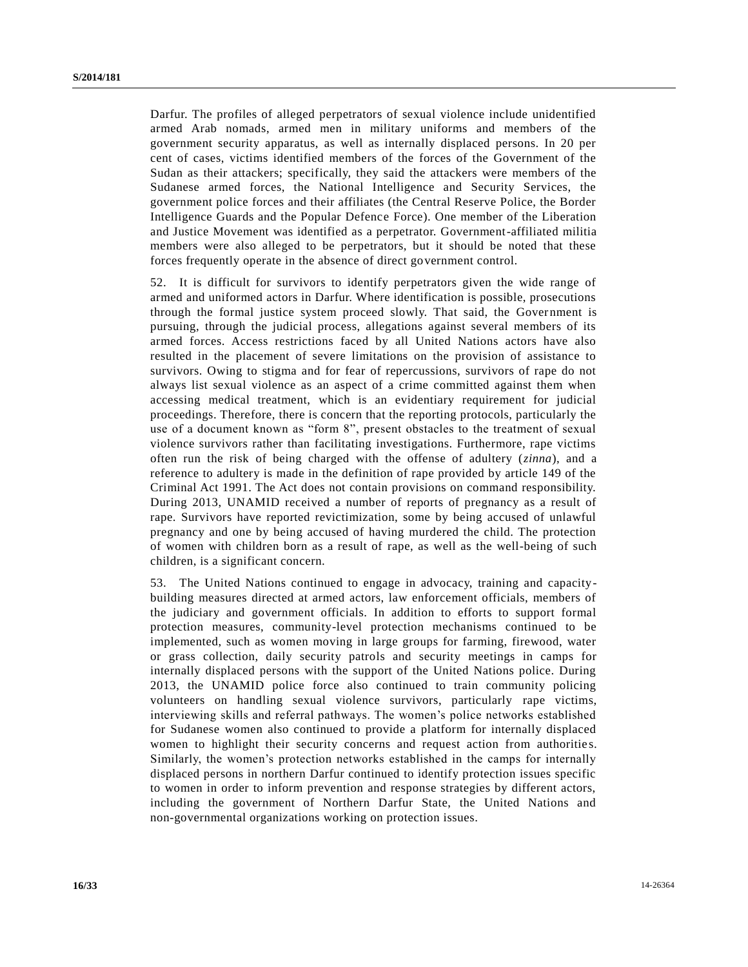Darfur. The profiles of alleged perpetrators of sexual violence include unidentified armed Arab nomads, armed men in military uniforms and members of the government security apparatus, as well as internally displaced persons. In 20 per cent of cases, victims identified members of the forces of the Government of the Sudan as their attackers; specifically, they said the attackers were members of the Sudanese armed forces, the National Intelligence and Security Services, the government police forces and their affiliates (the Central Reserve Police, the Border Intelligence Guards and the Popular Defence Force). One member of the Liberation and Justice Movement was identified as a perpetrator. Government-affiliated militia members were also alleged to be perpetrators, but it should be noted that these forces frequently operate in the absence of direct government control.

52. It is difficult for survivors to identify perpetrators given the wide range of armed and uniformed actors in Darfur. Where identification is possible, prosecutions through the formal justice system proceed slowly. That said, the Government is pursuing, through the judicial process, allegations against several members of its armed forces. Access restrictions faced by all United Nations actors have also resulted in the placement of severe limitations on the provision of assistance to survivors. Owing to stigma and for fear of repercussions, survivors of rape do not always list sexual violence as an aspect of a crime committed against them when accessing medical treatment, which is an evidentiary requirement for judicial proceedings. Therefore, there is concern that the reporting protocols, particularly the use of a document known as "form 8", present obstacles to the treatment of sexual violence survivors rather than facilitating investigations. Furthermore, rape victims often run the risk of being charged with the offense of adultery (*zinna*), and a reference to adultery is made in the definition of rape provided by article 149 of the Criminal Act 1991. The Act does not contain provisions on command responsibility. During 2013, UNAMID received a number of reports of pregnancy as a result of rape. Survivors have reported revictimization, some by being accused of unlawful pregnancy and one by being accused of having murdered the child. The protection of women with children born as a result of rape, as well as the well-being of such children, is a significant concern.

53. The United Nations continued to engage in advocacy, training and capacitybuilding measures directed at armed actors, law enforcement officials, members of the judiciary and government officials. In addition to efforts to support formal protection measures, community-level protection mechanisms continued to be implemented, such as women moving in large groups for farming, firewood, water or grass collection, daily security patrols and security meetings in camps for internally displaced persons with the support of the United Nations police. During 2013, the UNAMID police force also continued to train community policing volunteers on handling sexual violence survivors, particularly rape victims, interviewing skills and referral pathways. The women's police networks established for Sudanese women also continued to provide a platform for internally displaced women to highlight their security concerns and request action from authorities. Similarly, the women's protection networks established in the camps for internally displaced persons in northern Darfur continued to identify protection issues specific to women in order to inform prevention and response strategies by different actors, including the government of Northern Darfur State, the United Nations and non-governmental organizations working on protection issues.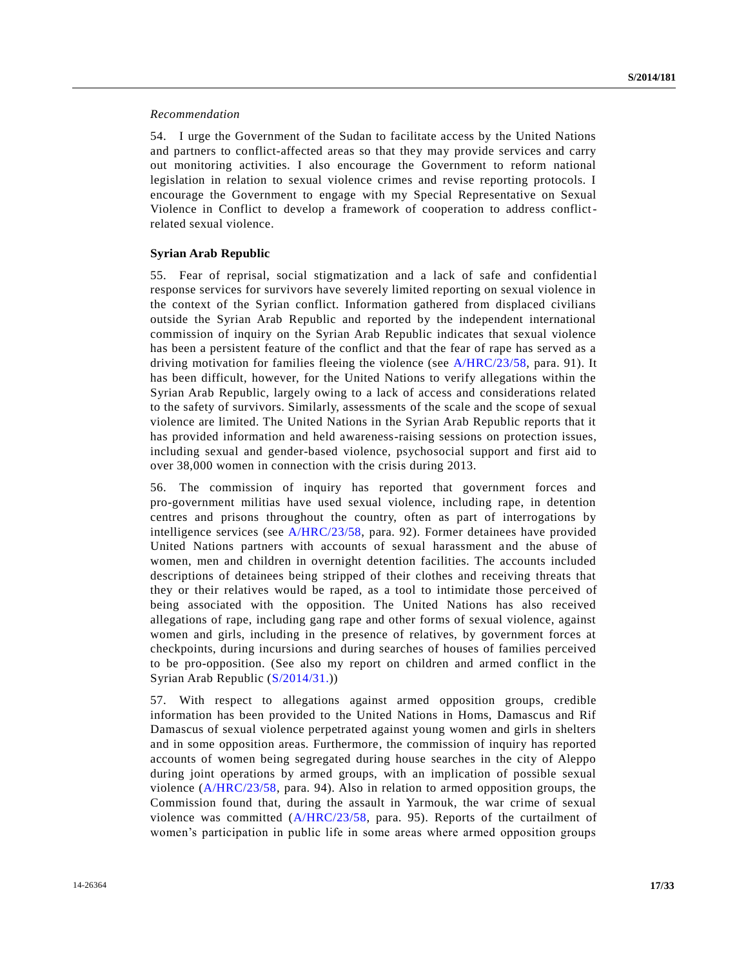## *Recommendation*

54. I urge the Government of the Sudan to facilitate access by the United Nations and partners to conflict-affected areas so that they may provide services and carry out monitoring activities. I also encourage the Government to reform national legislation in relation to sexual violence crimes and revise reporting protocols. I encourage the Government to engage with my Special Representative on Sexual Violence in Conflict to develop a framework of cooperation to address conflictrelated sexual violence.

## **Syrian Arab Republic**

55. Fear of reprisal, social stigmatization and a lack of safe and confidentia l response services for survivors have severely limited reporting on sexual violence in the context of the Syrian conflict. Information gathered from displaced civilians outside the Syrian Arab Republic and reported by the independent international commission of inquiry on the Syrian Arab Republic indicates that sexual violence has been a persistent feature of the conflict and that the fear of rape has served as a driving motivation for families fleeing the violence (see [A/HRC/23/58,](http://undocs.org/A/HRC/23/58) para. 91). It has been difficult, however, for the United Nations to verify allegations within the Syrian Arab Republic, largely owing to a lack of access and considerations related to the safety of survivors. Similarly, assessments of the scale and the scope of sexual violence are limited. The United Nations in the Syrian Arab Republic reports that it has provided information and held awareness-raising sessions on protection issues, including sexual and gender-based violence, psychosocial support and first aid to over 38,000 women in connection with the crisis during 2013.

56. The commission of inquiry has reported that government forces and pro-government militias have used sexual violence, including rape, in detention centres and prisons throughout the country, often as part of interrogations by intelligence services (see [A/HRC/23/58,](http://undocs.org/A/HRC/23/58) para. 92). Former detainees have provided United Nations partners with accounts of sexual harassment and the abuse of women, men and children in overnight detention facilities. The accounts included descriptions of detainees being stripped of their clothes and receiving threats that they or their relatives would be raped, as a tool to intimidate those perceived of being associated with the opposition. The United Nations has also received allegations of rape, including gang rape and other forms of sexual violence, against women and girls, including in the presence of relatives, by government forces at checkpoints, during incursions and during searches of houses of families perceived to be pro-opposition. (See also my report on children and armed conflict in the Syrian Arab Republic [\(S/2014/31.](http://undocs.org/S/2014/31)))

57. With respect to allegations against armed opposition groups, credible information has been provided to the United Nations in Homs, Damascus and Rif Damascus of sexual violence perpetrated against young women and girls in shelters and in some opposition areas. Furthermore, the commission of inquiry has reported accounts of women being segregated during house searches in the city of Aleppo during joint operations by armed groups, with an implication of possible sexual violence [\(A/HRC/23/58,](http://undocs.org/A/HRC/23/58) para. 94). Also in relation to armed opposition groups, the Commission found that, during the assault in Yarmouk, the war crime of sexual violence was committed [\(A/HRC/23/58,](http://undocs.org/A/HRC/23/58) para. 95). Reports of the curtailment of women's participation in public life in some areas where armed opposition groups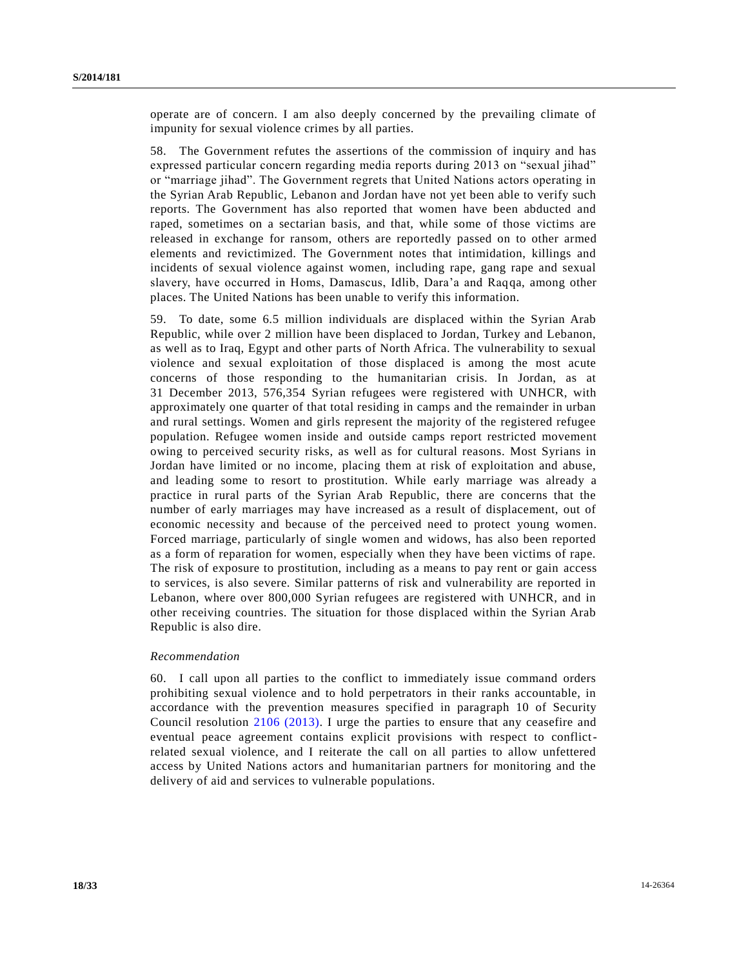operate are of concern. I am also deeply concerned by the prevailing climate of impunity for sexual violence crimes by all parties.

58. The Government refutes the assertions of the commission of inquiry and has expressed particular concern regarding media reports during 2013 on "sexual jihad" or "marriage jihad". The Government regrets that United Nations actors operating in the Syrian Arab Republic, Lebanon and Jordan have not yet been able to verify such reports. The Government has also reported that women have been abducted and raped, sometimes on a sectarian basis, and that, while some of those victims are released in exchange for ransom, others are reportedly passed on to other armed elements and revictimized. The Government notes that intimidation, killings and incidents of sexual violence against women, including rape, gang rape and sexual slavery, have occurred in Homs, Damascus, Idlib, Dara'a and Raqqa, among other places. The United Nations has been unable to verify this information.

59. To date, some 6.5 million individuals are displaced within the Syrian Arab Republic, while over 2 million have been displaced to Jordan, Turkey and Lebanon, as well as to Iraq, Egypt and other parts of North Africa. The vulnerability to sexual violence and sexual exploitation of those displaced is among the most acute concerns of those responding to the humanitarian crisis. In Jordan, as at 31 December 2013, 576,354 Syrian refugees were registered with UNHCR, with approximately one quarter of that total residing in camps and the remainder in urban and rural settings. Women and girls represent the majority of the registered refugee population. Refugee women inside and outside camps report restricted movement owing to perceived security risks, as well as for cultural reasons. Most Syrians in Jordan have limited or no income, placing them at risk of exploitation and abuse, and leading some to resort to prostitution. While early marriage was already a practice in rural parts of the Syrian Arab Republic, there are concerns that the number of early marriages may have increased as a result of displacement, out of economic necessity and because of the perceived need to protect young women. Forced marriage, particularly of single women and widows, has also been reported as a form of reparation for women, especially when they have been victims of rape. The risk of exposure to prostitution, including as a means to pay rent or gain access to services, is also severe. Similar patterns of risk and vulnerability are reported in Lebanon, where over 800,000 Syrian refugees are registered with UNHCR, and in other receiving countries. The situation for those displaced within the Syrian Arab Republic is also dire.

#### *Recommendation*

60. I call upon all parties to the conflict to immediately issue command orders prohibiting sexual violence and to hold perpetrators in their ranks accountable, in accordance with the prevention measures specified in paragraph 10 of Security Council resolution [2106 \(2013\).](http://undocs.org/S/RES/2106(2013)) I urge the parties to ensure that any ceasefire and eventual peace agreement contains explicit provisions with respect to conflictrelated sexual violence, and I reiterate the call on all parties to allow unfettered access by United Nations actors and humanitarian partners for monitoring and the delivery of aid and services to vulnerable populations.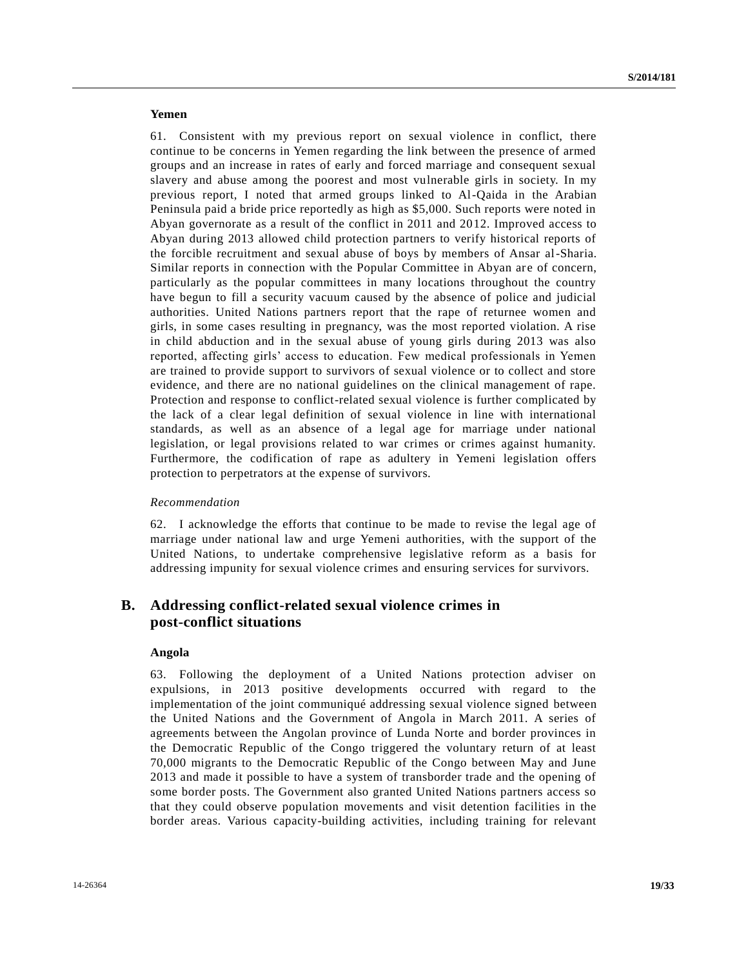# **Yemen**

61. Consistent with my previous report on sexual violence in conflict, there continue to be concerns in Yemen regarding the link between the presence of armed groups and an increase in rates of early and forced marriage and consequent sexual slavery and abuse among the poorest and most vulnerable girls in society. In my previous report, I noted that armed groups linked to Al-Qaida in the Arabian Peninsula paid a bride price reportedly as high as \$5,000. Such reports were noted in Abyan governorate as a result of the conflict in 2011 and 2012. Improved access to Abyan during 2013 allowed child protection partners to verify historical reports of the forcible recruitment and sexual abuse of boys by members of Ansar al-Sharia. Similar reports in connection with the Popular Committee in Abyan are of concern, particularly as the popular committees in many locations throughout the country have begun to fill a security vacuum caused by the absence of police and judicial authorities. United Nations partners report that the rape of returnee women and girls, in some cases resulting in pregnancy, was the most reported violation. A rise in child abduction and in the sexual abuse of young girls during 2013 was also reported, affecting girls' access to education. Few medical professionals in Yemen are trained to provide support to survivors of sexual violence or to collect and store evidence, and there are no national guidelines on the clinical management of rape. Protection and response to conflict-related sexual violence is further complicated by the lack of a clear legal definition of sexual violence in line with international standards, as well as an absence of a legal age for marriage under national legislation, or legal provisions related to war crimes or crimes against humanity. Furthermore, the codification of rape as adultery in Yemeni legislation offers protection to perpetrators at the expense of survivors.

## *Recommendation*

62. I acknowledge the efforts that continue to be made to revise the legal age of marriage under national law and urge Yemeni authorities, with the support of the United Nations, to undertake comprehensive legislative reform as a basis for addressing impunity for sexual violence crimes and ensuring services for survivors.

# **B. Addressing conflict-related sexual violence crimes in post-conflict situations**

## **Angola**

63. Following the deployment of a United Nations protection adviser on expulsions, in 2013 positive developments occurred with regard to the implementation of the joint communiqué addressing sexual violence signed between the United Nations and the Government of Angola in March 2011. A series of agreements between the Angolan province of Lunda Norte and border provinces in the Democratic Republic of the Congo triggered the voluntary return of at least 70,000 migrants to the Democratic Republic of the Congo between May and June 2013 and made it possible to have a system of transborder trade and the opening of some border posts. The Government also granted United Nations partners access so that they could observe population movements and visit detention facilities in the border areas. Various capacity-building activities, including training for relevant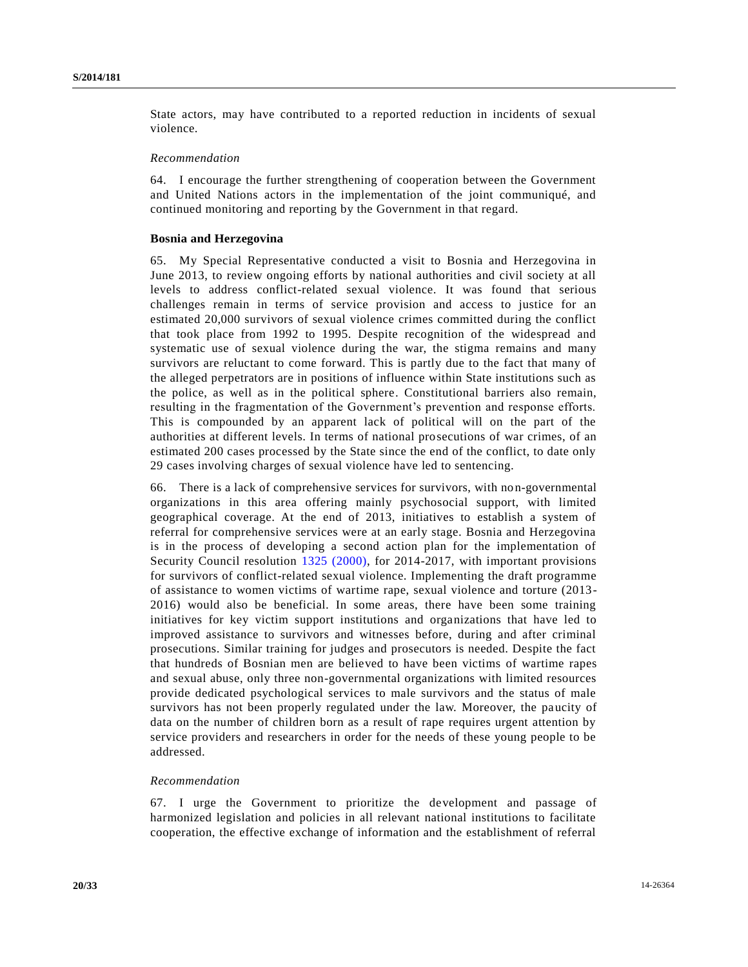State actors, may have contributed to a reported reduction in incidents of sexual violence.

#### *Recommendation*

64. I encourage the further strengthening of cooperation between the Government and United Nations actors in the implementation of the joint communiqué, and continued monitoring and reporting by the Government in that regard.

#### **Bosnia and Herzegovina**

65. My Special Representative conducted a visit to Bosnia and Herzegovina in June 2013, to review ongoing efforts by national authorities and civil society at all levels to address conflict-related sexual violence. It was found that serious challenges remain in terms of service provision and access to justice for an estimated 20,000 survivors of sexual violence crimes committed during the conflict that took place from 1992 to 1995. Despite recognition of the widespread and systematic use of sexual violence during the war, the stigma remains and many survivors are reluctant to come forward. This is partly due to the fact that many of the alleged perpetrators are in positions of influence within State institutions such as the police, as well as in the political sphere. Constitutional barriers also remain, resulting in the fragmentation of the Government's prevention and response efforts. This is compounded by an apparent lack of political will on the part of the authorities at different levels. In terms of national prosecutions of war crimes, of an estimated 200 cases processed by the State since the end of the conflict, to date only 29 cases involving charges of sexual violence have led to sentencing.

66. There is a lack of comprehensive services for survivors, with non-governmental organizations in this area offering mainly psychosocial support, with limited geographical coverage. At the end of 2013, initiatives to establish a system of referral for comprehensive services were at an early stage. Bosnia and Herzegovina is in the process of developing a second action plan for the implementation of Security Council resolution [1325 \(2000\),](http://undocs.org/S/RES/1325(2000)) for 2014-2017, with important provisions for survivors of conflict-related sexual violence. Implementing the draft programme of assistance to women victims of wartime rape, sexual violence and torture (2013- 2016) would also be beneficial. In some areas, there have been some training initiatives for key victim support institutions and organizations that have led to improved assistance to survivors and witnesses before, during and after criminal prosecutions. Similar training for judges and prosecutors is needed. Despite the fact that hundreds of Bosnian men are believed to have been victims of wartime rapes and sexual abuse, only three non-governmental organizations with limited resources provide dedicated psychological services to male survivors and the status of male survivors has not been properly regulated under the law. Moreover, the paucity of data on the number of children born as a result of rape requires urgent attention by service providers and researchers in order for the needs of these young people to be addressed.

## *Recommendation*

67. I urge the Government to prioritize the development and passage of harmonized legislation and policies in all relevant national institutions to facilitate cooperation, the effective exchange of information and the establishment of referral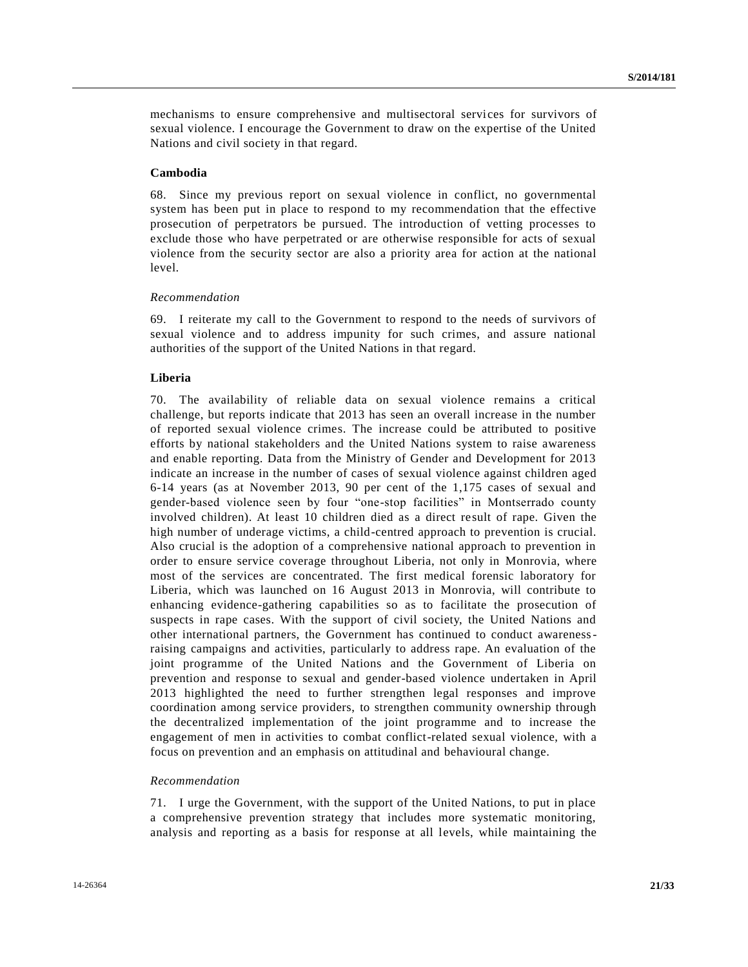mechanisms to ensure comprehensive and multisectoral services for survivors of sexual violence. I encourage the Government to draw on the expertise of the United Nations and civil society in that regard.

## **Cambodia**

68. Since my previous report on sexual violence in conflict, no governmental system has been put in place to respond to my recommendation that the effective prosecution of perpetrators be pursued. The introduction of vetting processes to exclude those who have perpetrated or are otherwise responsible for acts of sexual violence from the security sector are also a priority area for action at the national level.

### *Recommendation*

69. I reiterate my call to the Government to respond to the needs of survivors of sexual violence and to address impunity for such crimes, and assure national authorities of the support of the United Nations in that regard.

## **Liberia**

70. The availability of reliable data on sexual violence remains a critical challenge, but reports indicate that 2013 has seen an overall increase in the number of reported sexual violence crimes. The increase could be attributed to positive efforts by national stakeholders and the United Nations system to raise awareness and enable reporting. Data from the Ministry of Gender and Development for 2013 indicate an increase in the number of cases of sexual violence against children aged 6-14 years (as at November 2013, 90 per cent of the 1,175 cases of sexual and gender-based violence seen by four "one-stop facilities" in Montserrado county involved children). At least 10 children died as a direct result of rape. Given the high number of underage victims, a child-centred approach to prevention is crucial. Also crucial is the adoption of a comprehensive national approach to prevention in order to ensure service coverage throughout Liberia, not only in Monrovia, where most of the services are concentrated. The first medical forensic laboratory for Liberia, which was launched on 16 August 2013 in Monrovia, will contribute to enhancing evidence-gathering capabilities so as to facilitate the prosecution of suspects in rape cases. With the support of civil society, the United Nations and other international partners, the Government has continued to conduct awarenessraising campaigns and activities, particularly to address rape. An evaluation of the joint programme of the United Nations and the Government of Liberia on prevention and response to sexual and gender-based violence undertaken in April 2013 highlighted the need to further strengthen legal responses and improve coordination among service providers, to strengthen community ownership through the decentralized implementation of the joint programme and to increase the engagement of men in activities to combat conflict-related sexual violence, with a focus on prevention and an emphasis on attitudinal and behavioural change.

## *Recommendation*

71. I urge the Government, with the support of the United Nations, to put in place a comprehensive prevention strategy that includes more systematic monitoring, analysis and reporting as a basis for response at all levels, while maintaining the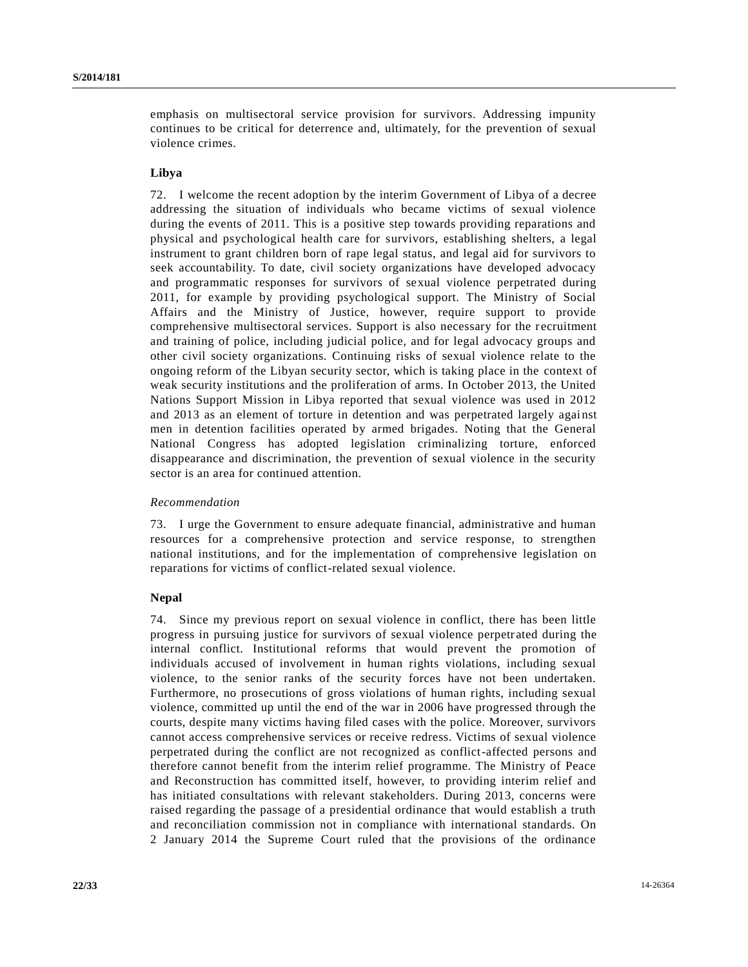emphasis on multisectoral service provision for survivors. Addressing impunity continues to be critical for deterrence and, ultimately, for the prevention of sexual violence crimes.

## **Libya**

72. I welcome the recent adoption by the interim Government of Libya of a decree addressing the situation of individuals who became victims of sexual violence during the events of 2011. This is a positive step towards providing reparations and physical and psychological health care for survivors, establishing shelters, a legal instrument to grant children born of rape legal status, and legal aid for survivors to seek accountability. To date, civil society organizations have developed advocacy and programmatic responses for survivors of sexual violence perpetrated during 2011, for example by providing psychological support. The Ministry of Social Affairs and the Ministry of Justice, however, require support to provide comprehensive multisectoral services. Support is also necessary for the recruitment and training of police, including judicial police, and for legal advocacy groups and other civil society organizations. Continuing risks of sexual violence relate to the ongoing reform of the Libyan security sector, which is taking place in the context of weak security institutions and the proliferation of arms. In October 2013, the United Nations Support Mission in Libya reported that sexual violence was used in 2012 and 2013 as an element of torture in detention and was perpetrated largely against men in detention facilities operated by armed brigades. Noting that the General National Congress has adopted legislation criminalizing torture, enforced disappearance and discrimination, the prevention of sexual violence in the security sector is an area for continued attention.

## *Recommendation*

73. I urge the Government to ensure adequate financial, administrative and human resources for a comprehensive protection and service response, to strengthen national institutions, and for the implementation of comprehensive legislation on reparations for victims of conflict-related sexual violence.

## **Nepal**

74. Since my previous report on sexual violence in conflict, there has been little progress in pursuing justice for survivors of sexual violence perpetr ated during the internal conflict. Institutional reforms that would prevent the promotion of individuals accused of involvement in human rights violations, including sexual violence, to the senior ranks of the security forces have not been undertaken. Furthermore, no prosecutions of gross violations of human rights, including sexual violence, committed up until the end of the war in 2006 have progressed through the courts, despite many victims having filed cases with the police. Moreover, survivors cannot access comprehensive services or receive redress. Victims of sexual violence perpetrated during the conflict are not recognized as conflict-affected persons and therefore cannot benefit from the interim relief programme. The Ministry of Peace and Reconstruction has committed itself, however, to providing interim relief and has initiated consultations with relevant stakeholders. During 2013, concerns were raised regarding the passage of a presidential ordinance that would establish a truth and reconciliation commission not in compliance with international standards. On 2 January 2014 the Supreme Court ruled that the provisions of the ordinance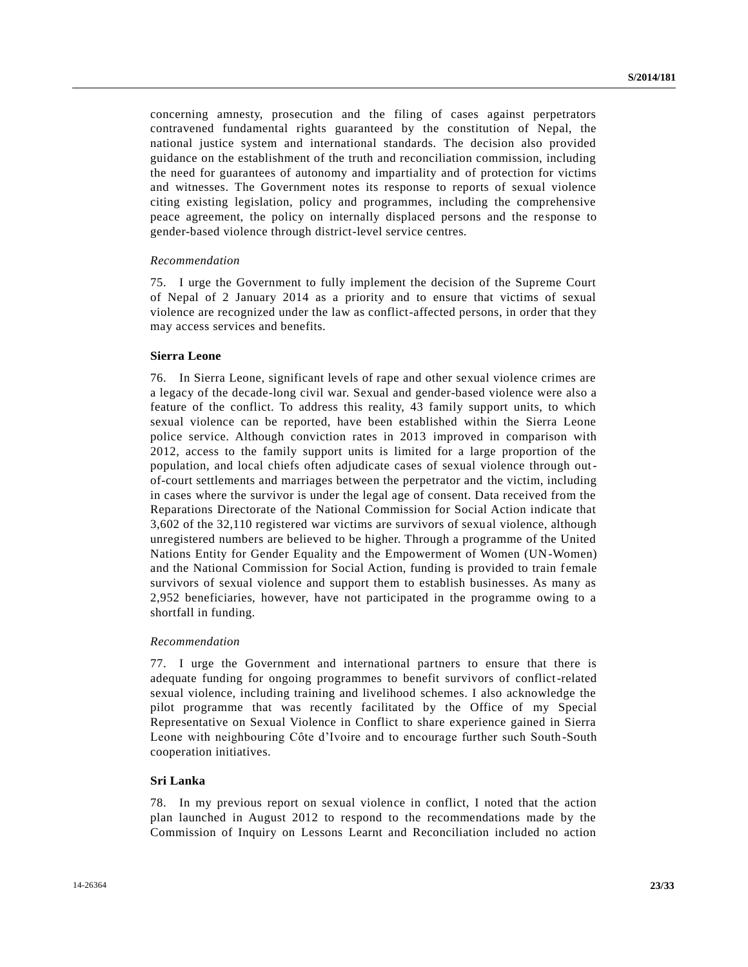concerning amnesty, prosecution and the filing of cases against perpetrators contravened fundamental rights guaranteed by the constitution of Nepal, the national justice system and international standards. The decision also provided guidance on the establishment of the truth and reconciliation commission, including the need for guarantees of autonomy and impartiality and of protection for victims and witnesses. The Government notes its response to reports of sexual violence citing existing legislation, policy and programmes, including the comprehensive peace agreement, the policy on internally displaced persons and the re sponse to gender-based violence through district-level service centres.

### *Recommendation*

75. I urge the Government to fully implement the decision of the Supreme Court of Nepal of 2 January 2014 as a priority and to ensure that victims of sexual violence are recognized under the law as conflict-affected persons, in order that they may access services and benefits.

## **Sierra Leone**

76. In Sierra Leone, significant levels of rape and other sexual violence crimes are a legacy of the decade-long civil war. Sexual and gender-based violence were also a feature of the conflict. To address this reality, 43 family support units, to which sexual violence can be reported, have been established within the Sierra Leone police service. Although conviction rates in 2013 improved in comparison with 2012, access to the family support units is limited for a large proportion of the population, and local chiefs often adjudicate cases of sexual violence through outof-court settlements and marriages between the perpetrator and the victim, including in cases where the survivor is under the legal age of consent. Data received from the Reparations Directorate of the National Commission for Social Action indicate that 3,602 of the 32,110 registered war victims are survivors of sexual violence, although unregistered numbers are believed to be higher. Through a programme of the United Nations Entity for Gender Equality and the Empowerment of Women (UN-Women) and the National Commission for Social Action, funding is provided to train female survivors of sexual violence and support them to establish businesses. As many as 2,952 beneficiaries, however, have not participated in the programme owing to a shortfall in funding.

### *Recommendation*

77. I urge the Government and international partners to ensure that there is adequate funding for ongoing programmes to benefit survivors of conflict-related sexual violence, including training and livelihood schemes. I also acknowledge the pilot programme that was recently facilitated by the Office of my Special Representative on Sexual Violence in Conflict to share experience gained in Sierra Leone with neighbouring Côte d'Ivoire and to encourage further such South-South cooperation initiatives.

## **Sri Lanka**

78. In my previous report on sexual violence in conflict, I noted that the action plan launched in August 2012 to respond to the recommendations made by the Commission of Inquiry on Lessons Learnt and Reconciliation included no action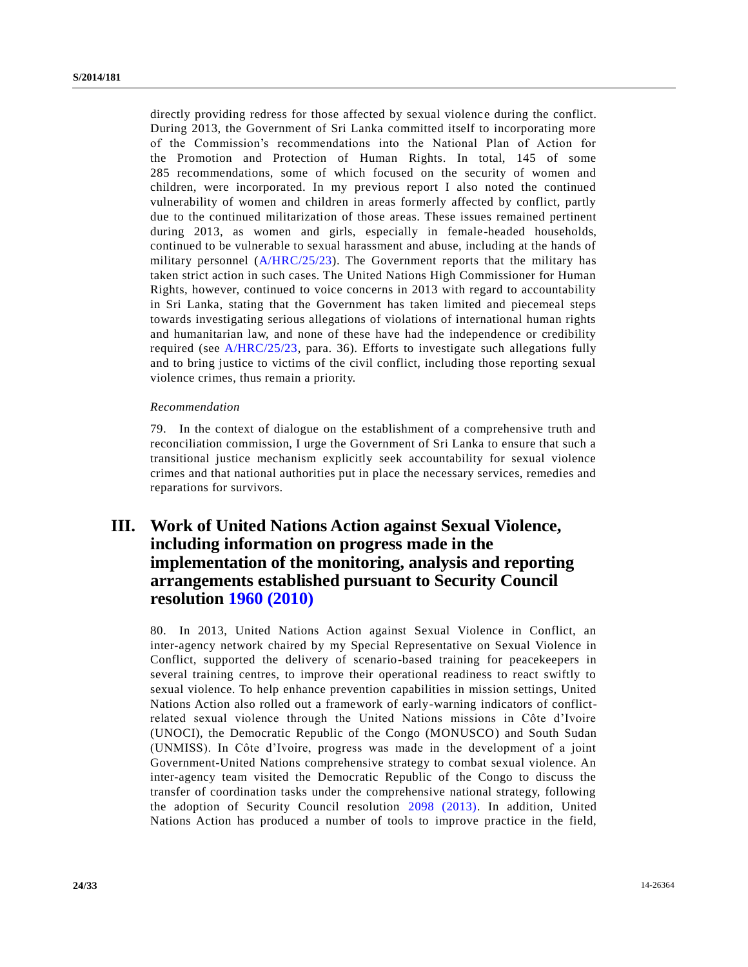directly providing redress for those affected by sexual violence during the conflict. During 2013, the Government of Sri Lanka committed itself to incorporating more of the Commission's recommendations into the National Plan of Action for the Promotion and Protection of Human Rights. In total, 145 of some 285 recommendations, some of which focused on the security of women and children, were incorporated. In my previous report I also noted the continued vulnerability of women and children in areas formerly affected by conflict, partly due to the continued militarization of those areas. These issues remained pertinent during 2013, as women and girls, especially in female-headed households, continued to be vulnerable to sexual harassment and abuse, including at the hands of military personnel  $(A/HRC/25/23)$ . The Government reports that the military has taken strict action in such cases. The United Nations High Commissioner for Human Rights, however, continued to voice concerns in 2013 with regard to accountability in Sri Lanka, stating that the Government has taken limited and piecemeal steps towards investigating serious allegations of violations of international human rights and humanitarian law, and none of these have had the independence or credibility required (see [A/HRC/25/23,](http://undocs.org/A/HRC/25/23) para. 36). Efforts to investigate such allegations fully and to bring justice to victims of the civil conflict, including those reporting sexual violence crimes, thus remain a priority.

## *Recommendation*

79. In the context of dialogue on the establishment of a comprehensive truth and reconciliation commission, I urge the Government of Sri Lanka to ensure that such a transitional justice mechanism explicitly seek accountability for sexual violence crimes and that national authorities put in place the necessary services, remedies and reparations for survivors.

# **III. Work of United Nations Action against Sexual Violence, including information on progress made in the implementation of the monitoring, analysis and reporting arrangements established pursuant to Security Council resolution [1960 \(2010\)](http://undocs.org/S/RES/1960(2010))**

80. In 2013, United Nations Action against Sexual Violence in Conflict, an inter-agency network chaired by my Special Representative on Sexual Violence in Conflict, supported the delivery of scenario-based training for peacekeepers in several training centres, to improve their operational readiness to react swiftly to sexual violence. To help enhance prevention capabilities in mission settings, United Nations Action also rolled out a framework of early-warning indicators of conflictrelated sexual violence through the United Nations missions in Côte d'Ivoire (UNOCI), the Democratic Republic of the Congo (MONUSCO) and South Sudan (UNMISS). In Côte d'Ivoire, progress was made in the development of a joint Government-United Nations comprehensive strategy to combat sexual violence. An inter-agency team visited the Democratic Republic of the Congo to discuss the transfer of coordination tasks under the comprehensive national strategy, following the adoption of Security Council resolution [2098 \(2013\).](http://undocs.org/S/RES/2098(2013)) In addition, United Nations Action has produced a number of tools to improve practice in the field,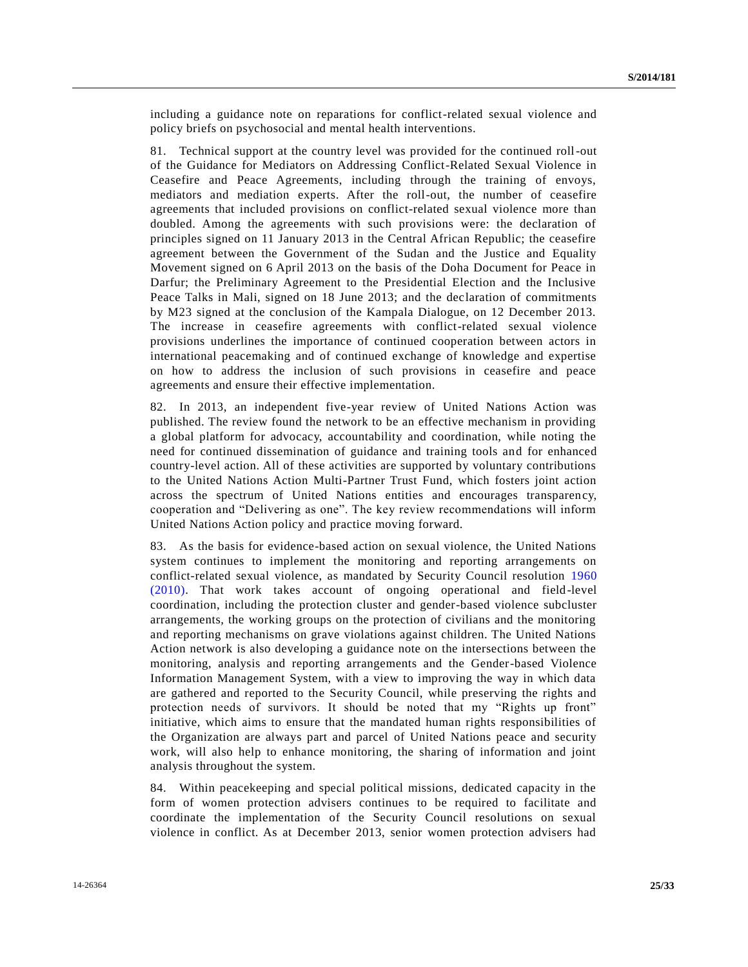including a guidance note on reparations for conflict-related sexual violence and policy briefs on psychosocial and mental health interventions.

81. Technical support at the country level was provided for the continued roll-out of the Guidance for Mediators on Addressing Conflict-Related Sexual Violence in Ceasefire and Peace Agreements, including through the training of envoys, mediators and mediation experts. After the roll-out, the number of ceasefire agreements that included provisions on conflict-related sexual violence more than doubled. Among the agreements with such provisions were: the declaration of principles signed on 11 January 2013 in the Central African Republic; the ceasefire agreement between the Government of the Sudan and the Justice and Equality Movement signed on 6 April 2013 on the basis of the Doha Document for Peace in Darfur; the Preliminary Agreement to the Presidential Election and the Inclusive Peace Talks in Mali, signed on 18 June 2013; and the declaration of commitments by M23 signed at the conclusion of the Kampala Dialogue, on 12 December 2013. The increase in ceasefire agreements with conflict-related sexual violence provisions underlines the importance of continued cooperation between actors in international peacemaking and of continued exchange of knowledge and expertise on how to address the inclusion of such provisions in ceasefire and peace agreements and ensure their effective implementation.

82. In 2013, an independent five-year review of United Nations Action was published. The review found the network to be an effective mechanism in providing a global platform for advocacy, accountability and coordination, while noting the need for continued dissemination of guidance and training tools and for enhanced country-level action. All of these activities are supported by voluntary contributions to the United Nations Action Multi-Partner Trust Fund, which fosters joint action across the spectrum of United Nations entities and encourages transparency, cooperation and "Delivering as one". The key review recommendations will inform United Nations Action policy and practice moving forward.

83. As the basis for evidence-based action on sexual violence, the United Nations system continues to implement the monitoring and reporting arrangements on conflict-related sexual violence, as mandated by Security Council resolution [1960](http://undocs.org/S/RES/1960(2010))  [\(2010\).](http://undocs.org/S/RES/1960(2010)) That work takes account of ongoing operational and field-level coordination, including the protection cluster and gender-based violence subcluster arrangements, the working groups on the protection of civilians and the monitoring and reporting mechanisms on grave violations against children. The United Nations Action network is also developing a guidance note on the intersections between the monitoring, analysis and reporting arrangements and the Gender-based Violence Information Management System, with a view to improving the way in which data are gathered and reported to the Security Council, while preserving the rights and protection needs of survivors. It should be noted that my "Rights up front" initiative, which aims to ensure that the mandated human rights responsibilities of the Organization are always part and parcel of United Nations peace and security work, will also help to enhance monitoring, the sharing of information and joint analysis throughout the system.

84. Within peacekeeping and special political missions, dedicated capacity in the form of women protection advisers continues to be required to facilitate and coordinate the implementation of the Security Council resolutions on sexual violence in conflict. As at December 2013, senior women protection advisers had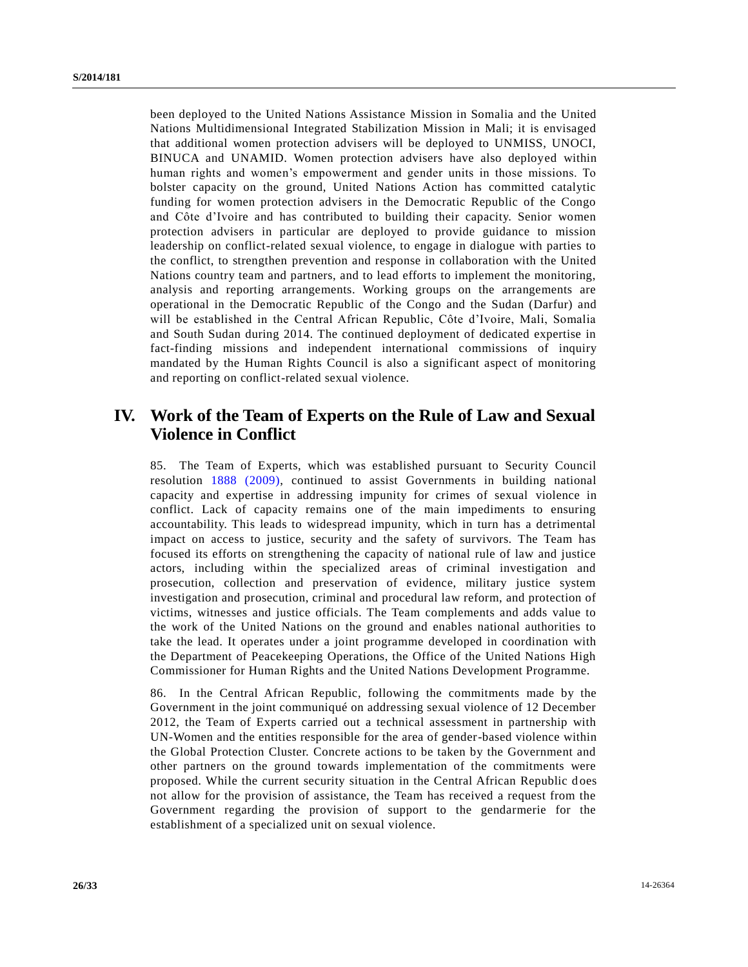been deployed to the United Nations Assistance Mission in Somalia and the United Nations Multidimensional Integrated Stabilization Mission in Mali; it is envisaged that additional women protection advisers will be deployed to UNMISS, UNOCI, BINUCA and UNAMID. Women protection advisers have also deployed within human rights and women's empowerment and gender units in those missions. To bolster capacity on the ground, United Nations Action has committed catalytic funding for women protection advisers in the Democratic Republic of the Congo and Côte d'Ivoire and has contributed to building their capacity. Senior women protection advisers in particular are deployed to provide guidance to mission leadership on conflict-related sexual violence, to engage in dialogue with parties to the conflict, to strengthen prevention and response in collaboration with the United Nations country team and partners, and to lead efforts to implement the monitoring, analysis and reporting arrangements. Working groups on the arrangements are operational in the Democratic Republic of the Congo and the Sudan (Darfur) and will be established in the Central African Republic, Côte d'Ivoire, Mali, Somalia and South Sudan during 2014. The continued deployment of dedicated expertise in fact-finding missions and independent international commissions of inquiry mandated by the Human Rights Council is also a significant aspect of monitoring and reporting on conflict-related sexual violence.

# **IV. Work of the Team of Experts on the Rule of Law and Sexual Violence in Conflict**

85. The Team of Experts, which was established pursuant to Security Council resolution [1888 \(2009\),](http://undocs.org/S/RES/1888(2009)) continued to assist Governments in building national capacity and expertise in addressing impunity for crimes of sexual violence in conflict. Lack of capacity remains one of the main impediments to ensuring accountability. This leads to widespread impunity, which in turn has a detrimental impact on access to justice, security and the safety of survivors. The Team has focused its efforts on strengthening the capacity of national rule of law and justice actors, including within the specialized areas of criminal investigation and prosecution, collection and preservation of evidence, military justice system investigation and prosecution, criminal and procedural law reform, and protection of victims, witnesses and justice officials. The Team complements and adds value to the work of the United Nations on the ground and enables national authorities to take the lead. It operates under a joint programme developed in coordination with the Department of Peacekeeping Operations, the Office of the United Nations High Commissioner for Human Rights and the United Nations Development Programme.

86. In the Central African Republic, following the commitments made by the Government in the joint communiqué on addressing sexual violence of 12 December 2012, the Team of Experts carried out a technical assessment in partnership with UN-Women and the entities responsible for the area of gender-based violence within the Global Protection Cluster. Concrete actions to be taken by the Government and other partners on the ground towards implementation of the commitments were proposed. While the current security situation in the Central African Republic does not allow for the provision of assistance, the Team has received a request from the Government regarding the provision of support to the gendarmerie for the establishment of a specialized unit on sexual violence.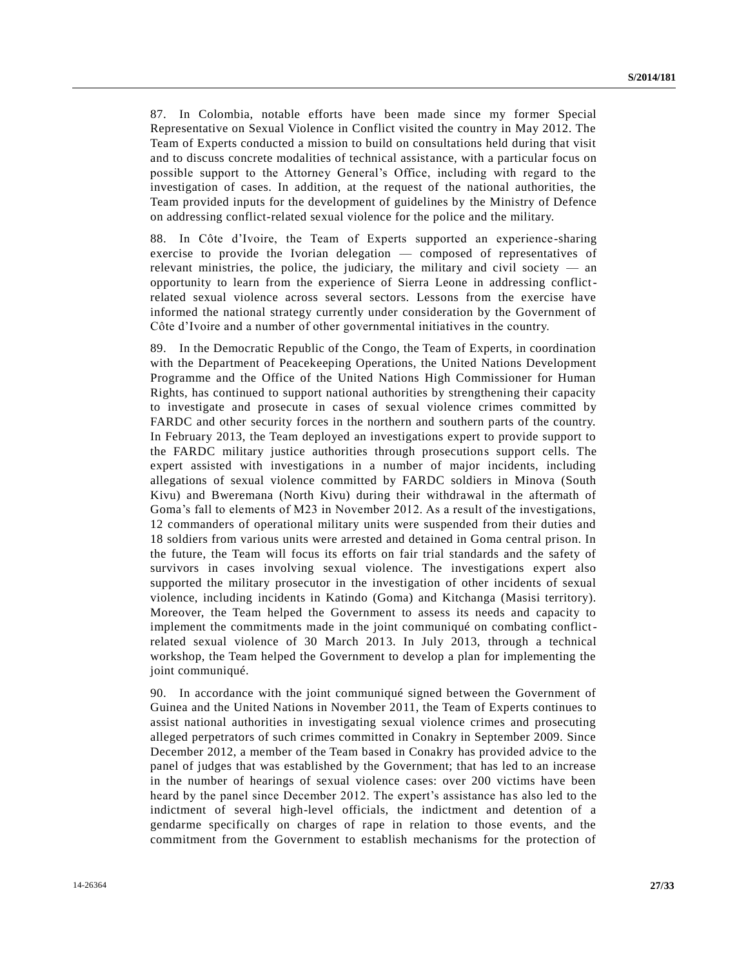87. In Colombia, notable efforts have been made since my former Special Representative on Sexual Violence in Conflict visited the country in May 2012. The Team of Experts conducted a mission to build on consultations held during that visit and to discuss concrete modalities of technical assistance, with a particular focus on possible support to the Attorney General's Office, including with regard to the investigation of cases. In addition, at the request of the national authorities, the Team provided inputs for the development of guidelines by the Ministry of Defence on addressing conflict-related sexual violence for the police and the military.

88. In Côte d'Ivoire, the Team of Experts supported an experience-sharing exercise to provide the Ivorian delegation — composed of representatives of relevant ministries, the police, the judiciary, the military and civil society  $-$  an opportunity to learn from the experience of Sierra Leone in addressing conflictrelated sexual violence across several sectors. Lessons from the exercise have informed the national strategy currently under consideration by the Government of Côte d'Ivoire and a number of other governmental initiatives in the country.

89. In the Democratic Republic of the Congo, the Team of Experts, in coordination with the Department of Peacekeeping Operations, the United Nations Development Programme and the Office of the United Nations High Commissioner for Human Rights, has continued to support national authorities by strengthening their capacity to investigate and prosecute in cases of sexual violence crimes committed by FARDC and other security forces in the northern and southern parts of the country. In February 2013, the Team deployed an investigations expert to provide support to the FARDC military justice authorities through prosecutions support cells. The expert assisted with investigations in a number of major incidents, including allegations of sexual violence committed by FARDC soldiers in Minova (South Kivu) and Bweremana (North Kivu) during their withdrawal in the aftermath of Goma's fall to elements of M23 in November 2012. As a result of the investigations, 12 commanders of operational military units were suspended from their duties and 18 soldiers from various units were arrested and detained in Goma central prison. In the future, the Team will focus its efforts on fair trial standards and the safety of survivors in cases involving sexual violence. The investigations expert also supported the military prosecutor in the investigation of other incidents of sexual violence, including incidents in Katindo (Goma) and Kitchanga (Masisi territory). Moreover, the Team helped the Government to assess its needs and capacity to implement the commitments made in the joint communiqué on combating conflictrelated sexual violence of 30 March 2013. In July 2013, through a technical workshop, the Team helped the Government to develop a plan for implementing the joint communiqué.

90. In accordance with the joint communiqué signed between the Government of Guinea and the United Nations in November 2011, the Team of Experts continues to assist national authorities in investigating sexual violence crimes and prosecuting alleged perpetrators of such crimes committed in Conakry in September 2009. Since December 2012, a member of the Team based in Conakry has provided advice to the panel of judges that was established by the Government; that has led to an increase in the number of hearings of sexual violence cases: over 200 victims have been heard by the panel since December 2012. The expert's assistance has also led to the indictment of several high-level officials, the indictment and detention of a gendarme specifically on charges of rape in relation to those events, and the commitment from the Government to establish mechanisms for the protection of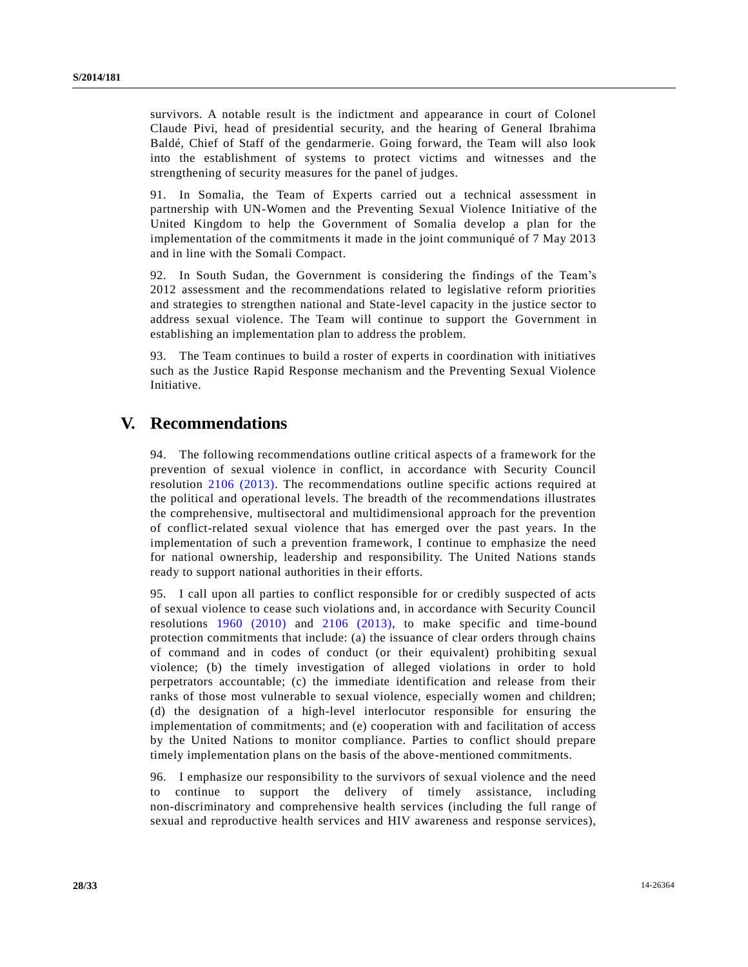survivors. A notable result is the indictment and appearance in court of Colonel Claude Pivi, head of presidential security, and the hearing of General Ibrahima Baldé, Chief of Staff of the gendarmerie. Going forward, the Team will also look into the establishment of systems to protect victims and witnesses and the strengthening of security measures for the panel of judges.

91. In Somalia, the Team of Experts carried out a technical assessment in partnership with UN-Women and the Preventing Sexual Violence Initiative of the United Kingdom to help the Government of Somalia develop a plan for the implementation of the commitments it made in the joint communiqué of 7 May 2013 and in line with the Somali Compact.

92. In South Sudan, the Government is considering the findings of the Team's 2012 assessment and the recommendations related to legislative reform priorities and strategies to strengthen national and State-level capacity in the justice sector to address sexual violence. The Team will continue to support the Government in establishing an implementation plan to address the problem.

93. The Team continues to build a roster of experts in coordination with initiatives such as the Justice Rapid Response mechanism and the Preventing Sexual Violence Initiative.

# **V. Recommendations**

94. The following recommendations outline critical aspects of a framework for the prevention of sexual violence in conflict, in accordance with Security Council resolution [2106 \(2013\).](http://undocs.org/S/RES/2106(2013)) The recommendations outline specific actions required at the political and operational levels. The breadth of the recommendations illustrates the comprehensive, multisectoral and multidimensional approach for the prevention of conflict-related sexual violence that has emerged over the past years. In the implementation of such a prevention framework, I continue to emphasize the need for national ownership, leadership and responsibility. The United Nations stands ready to support national authorities in their efforts.

95. I call upon all parties to conflict responsible for or credibly suspected of acts of sexual violence to cease such violations and, in accordance with Security Council resolutions [1960 \(2010\)](http://undocs.org/S/RES/1960(2010)) and [2106 \(2013\),](http://undocs.org/S/RES/2106(2013)) to make specific and time-bound protection commitments that include: (a) the issuance of clear orders through chains of command and in codes of conduct (or their equivalent) prohibiting sexual violence; (b) the timely investigation of alleged violations in order to hold perpetrators accountable; (c) the immediate identification and release from their ranks of those most vulnerable to sexual violence, especially women and children; (d) the designation of a high-level interlocutor responsible for ensuring the implementation of commitments; and (e) cooperation with and facilitation of access by the United Nations to monitor compliance. Parties to conflict should prepare timely implementation plans on the basis of the above-mentioned commitments.

96. I emphasize our responsibility to the survivors of sexual violence and the need to continue to support the delivery of timely assistance, including non-discriminatory and comprehensive health services (including the full range of sexual and reproductive health services and HIV awareness and response services),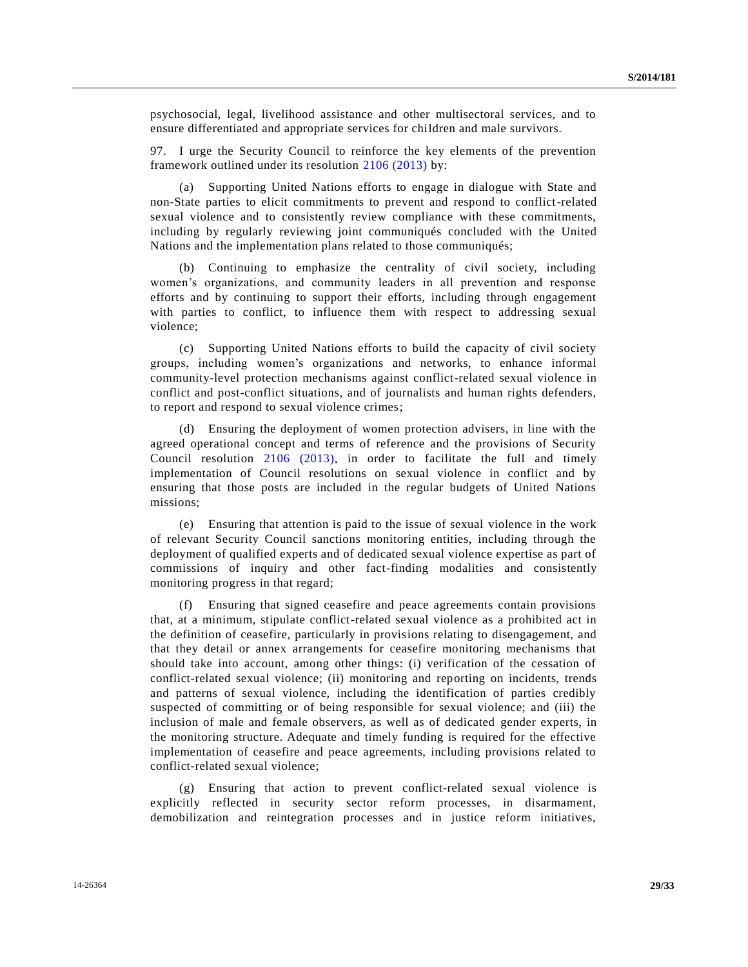psychosocial, legal, livelihood assistance and other multisectoral services, and to ensure differentiated and appropriate services for children and male survivors.

97. I urge the Security Council to reinforce the key elements of the prevention framework outlined under its resolution [2106 \(2013\)](http://undocs.org/S/RES/2106(2013)) by:

(a) Supporting United Nations efforts to engage in dialogue with State and non-State parties to elicit commitments to prevent and respond to conflict-related sexual violence and to consistently review compliance with these commitments, including by regularly reviewing joint communiqués concluded with the United Nations and the implementation plans related to those communiqués;

(b) Continuing to emphasize the centrality of civil society, including women's organizations, and community leaders in all prevention and response efforts and by continuing to support their efforts, including through engagement with parties to conflict, to influence them with respect to addressing sexual violence;

(c) Supporting United Nations efforts to build the capacity of civil society groups, including women's organizations and networks, to enhance informal community-level protection mechanisms against conflict-related sexual violence in conflict and post-conflict situations, and of journalists and human rights defenders, to report and respond to sexual violence crimes;

(d) Ensuring the deployment of women protection advisers, in line with the agreed operational concept and terms of reference and the provisions of Security Council resolution [2106 \(2013\),](http://undocs.org/S/RES/2106(2013)) in order to facilitate the full and timely implementation of Council resolutions on sexual violence in conflict and by ensuring that those posts are included in the regular budgets of United Nations missions;

(e) Ensuring that attention is paid to the issue of sexual violence in the work of relevant Security Council sanctions monitoring entities, including through the deployment of qualified experts and of dedicated sexual violence expertise as part of commissions of inquiry and other fact-finding modalities and consistently monitoring progress in that regard;

(f) Ensuring that signed ceasefire and peace agreements contain provisions that, at a minimum, stipulate conflict-related sexual violence as a prohibited act in the definition of ceasefire, particularly in provisions relating to disengagement, and that they detail or annex arrangements for ceasefire monitoring mechanisms that should take into account, among other things: (i) verification of the cessation of conflict-related sexual violence; (ii) monitoring and reporting on incidents, trends and patterns of sexual violence, including the identification of parties credibly suspected of committing or of being responsible for sexual violence; and (iii) the inclusion of male and female observers, as well as of dedicated gender experts, in the monitoring structure. Adequate and timely funding is required for the effective implementation of ceasefire and peace agreements, including provisions related to conflict-related sexual violence;

(g) Ensuring that action to prevent conflict-related sexual violence is explicitly reflected in security sector reform processes, in disarmament, demobilization and reintegration processes and in justice reform initiatives,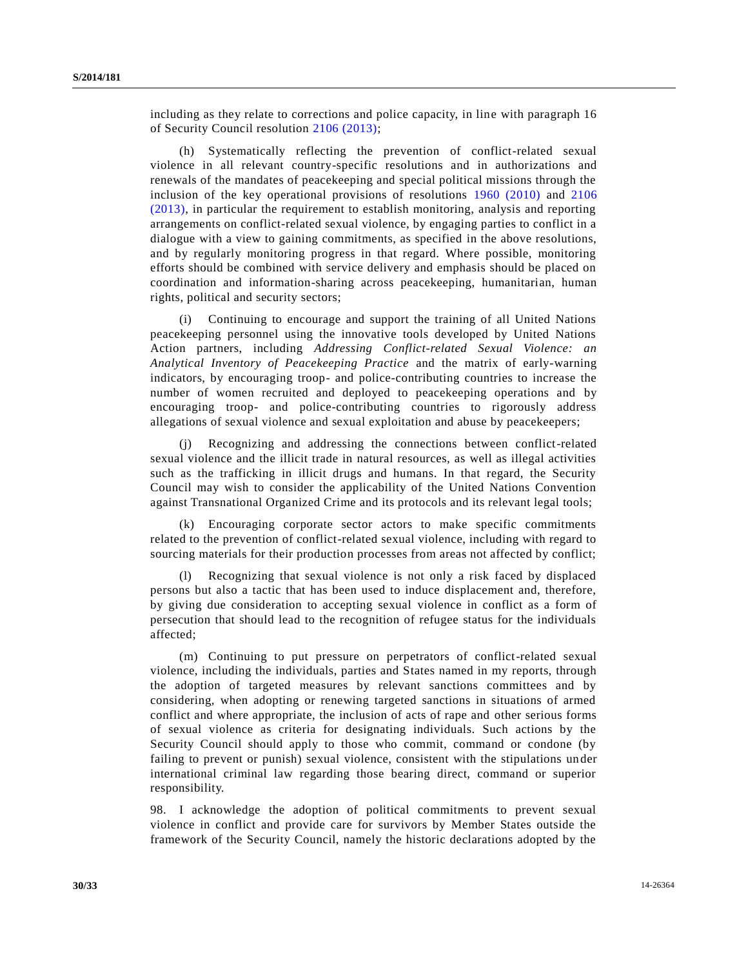including as they relate to corrections and police capacity, in line with paragraph 16 of Security Council resolution [2106 \(2013\);](http://undocs.org/S/RES/2106(2013))

(h) Systematically reflecting the prevention of conflict-related sexual violence in all relevant country-specific resolutions and in authorizations and renewals of the mandates of peacekeeping and special political missions through the inclusion of the key operational provisions of resolutions [1960 \(2010\)](http://undocs.org/S/RES/1960(2010)) and [2106](http://undocs.org/S/RES/2106(2013))  [\(2013\),](http://undocs.org/S/RES/2106(2013)) in particular the requirement to establish monitoring, analysis and reporting arrangements on conflict-related sexual violence, by engaging parties to conflict in a dialogue with a view to gaining commitments, as specified in the above resolutions, and by regularly monitoring progress in that regard. Where possible, monitoring efforts should be combined with service delivery and emphasis should be placed on coordination and information-sharing across peacekeeping, humanitarian, human rights, political and security sectors;

(i) Continuing to encourage and support the training of all United Nations peacekeeping personnel using the innovative tools developed by United Nations Action partners, including *Addressing Conflict-related Sexual Violence: an Analytical Inventory of Peacekeeping Practice* and the matrix of early-warning indicators, by encouraging troop- and police-contributing countries to increase the number of women recruited and deployed to peacekeeping operations and by encouraging troop- and police-contributing countries to rigorously address allegations of sexual violence and sexual exploitation and abuse by peacekeepers;

Recognizing and addressing the connections between conflict-related sexual violence and the illicit trade in natural resources, as well as illegal activities such as the trafficking in illicit drugs and humans. In that regard, the Security Council may wish to consider the applicability of the United Nations Convention against Transnational Organized Crime and its protocols and its relevant legal tools;

(k) Encouraging corporate sector actors to make specific commitments related to the prevention of conflict-related sexual violence, including with regard to sourcing materials for their production processes from areas not affected by conflict;

(l) Recognizing that sexual violence is not only a risk faced by displaced persons but also a tactic that has been used to induce displacement and, therefore, by giving due consideration to accepting sexual violence in conflict as a form of persecution that should lead to the recognition of refugee status for the individuals affected;

(m) Continuing to put pressure on perpetrators of conflict-related sexual violence, including the individuals, parties and States named in my reports, through the adoption of targeted measures by relevant sanctions committees and by considering, when adopting or renewing targeted sanctions in situations of armed conflict and where appropriate, the inclusion of acts of rape and other serious forms of sexual violence as criteria for designating individuals. Such actions by the Security Council should apply to those who commit, command or condone (by failing to prevent or punish) sexual violence, consistent with the stipulations un der international criminal law regarding those bearing direct, command or superior responsibility.

98. I acknowledge the adoption of political commitments to prevent sexual violence in conflict and provide care for survivors by Member States outside the framework of the Security Council, namely the historic declarations adopted by the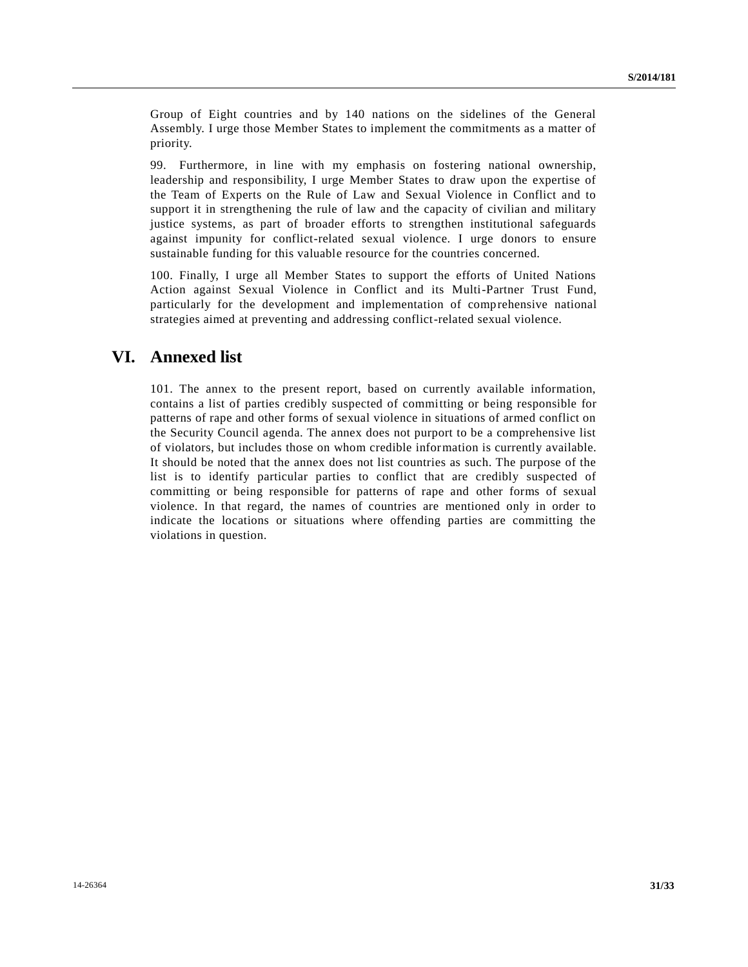Group of Eight countries and by 140 nations on the sidelines of the General Assembly. I urge those Member States to implement the commitments as a matter of priority.

99. Furthermore, in line with my emphasis on fostering national ownership, leadership and responsibility, I urge Member States to draw upon the expertise of the Team of Experts on the Rule of Law and Sexual Violence in Conflict and to support it in strengthening the rule of law and the capacity of civilian and military justice systems, as part of broader efforts to strengthen institutional safeguards against impunity for conflict-related sexual violence. I urge donors to ensure sustainable funding for this valuable resource for the countries concerned.

100. Finally, I urge all Member States to support the efforts of United Nations Action against Sexual Violence in Conflict and its Multi-Partner Trust Fund, particularly for the development and implementation of comprehensive national strategies aimed at preventing and addressing conflict-related sexual violence.

# **VI. Annexed list**

101. The annex to the present report, based on currently available information, contains a list of parties credibly suspected of committing or being responsible for patterns of rape and other forms of sexual violence in situations of armed conflict on the Security Council agenda. The annex does not purport to be a comprehensive list of violators, but includes those on whom credible information is currently available. It should be noted that the annex does not list countries as such. The purpose of the list is to identify particular parties to conflict that are credibly suspected of committing or being responsible for patterns of rape and other forms of sexual violence. In that regard, the names of countries are mentioned only in order to indicate the locations or situations where offending parties are committing the violations in question.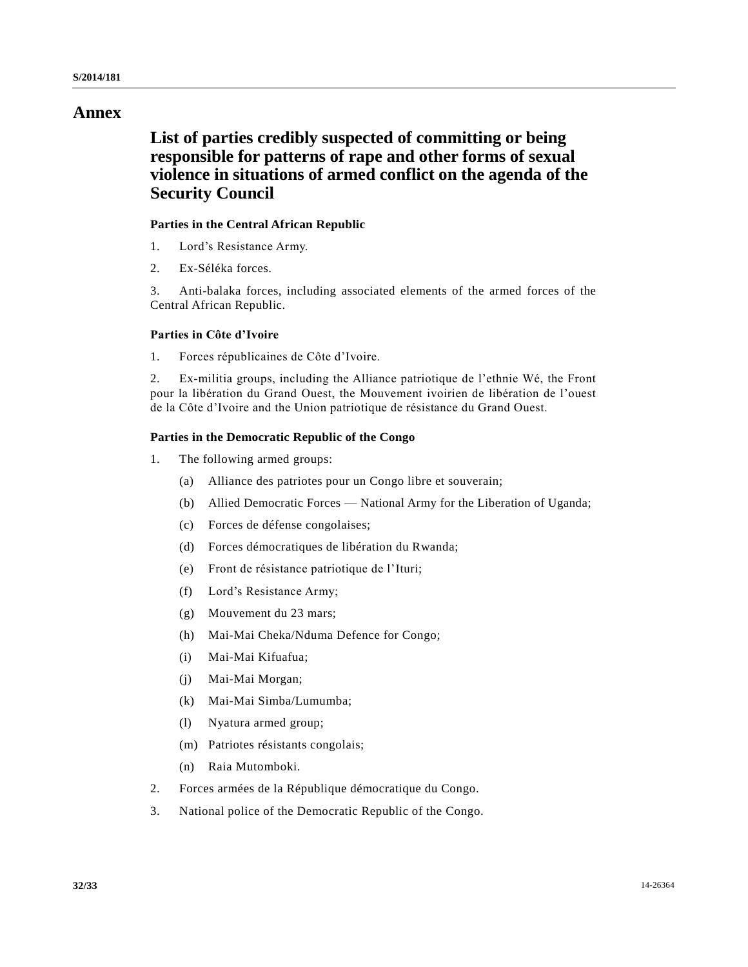# **Annex**

# **List of parties credibly suspected of committing or being responsible for patterns of rape and other forms of sexual violence in situations of armed conflict on the agenda of the Security Council**

# **Parties in the Central African Republic**

- 1. Lord's Resistance Army.
- 2. Ex-Séléka forces.

3. Anti-balaka forces, including associated elements of the armed forces of the Central African Republic.

## **Parties in Côte d'Ivoire**

1. Forces républicaines de Côte d'Ivoire.

2. Ex-militia groups, including the Alliance patriotique de l'ethnie Wé, the Front pour la libération du Grand Ouest, the Mouvement ivoirien de libération de l'ouest de la Côte d'Ivoire and the Union patriotique de résistance du Grand Ouest.

# **Parties in the Democratic Republic of the Congo**

- 1. The following armed groups:
	- (a) Alliance des patriotes pour un Congo libre et souverain;
	- (b) Allied Democratic Forces National Army for the Liberation of Uganda;
	- (c) Forces de défense congolaises;
	- (d) Forces démocratiques de libération du Rwanda;
	- (e) Front de résistance patriotique de l'Ituri;
	- (f) Lord's Resistance Army;
	- (g) Mouvement du 23 mars;
	- (h) Mai-Mai Cheka/Nduma Defence for Congo;
	- (i) Mai-Mai Kifuafua;
	- (j) Mai-Mai Morgan;
	- (k) Mai-Mai Simba/Lumumba;
	- (l) Nyatura armed group;
	- (m) Patriotes résistants congolais;
	- (n) Raia Mutomboki.
- 2. Forces armées de la République démocratique du Congo.
- 3. National police of the Democratic Republic of the Congo.